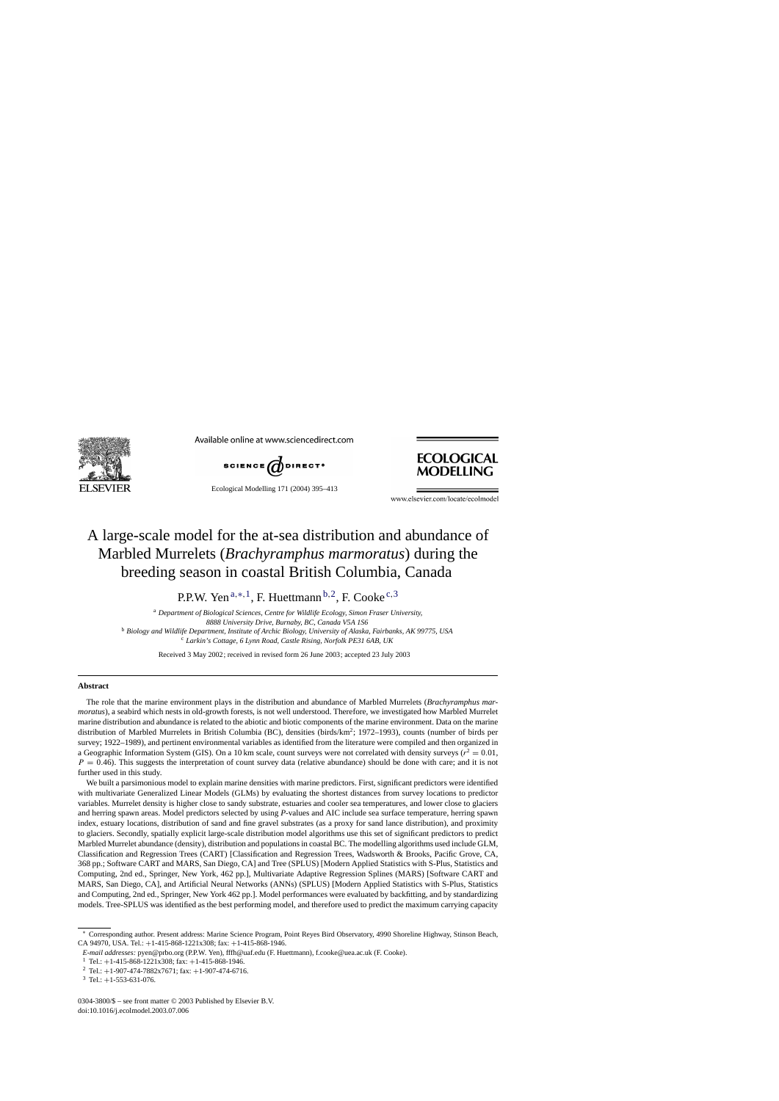

Available online at www.sciencedirect.com



Ecological Modelling 171 (2004) 395–413



www.elsevier.com/locate/ecolmodel

# A large-scale model for the at-sea distribution and abundance of Marbled Murrelets (*Brachyramphus marmoratus*) during the breeding season in coastal British Columbia, Canada

P.P.W. Yen  $a,*,1$ , F. Huettmann  $b,2$ , F. Cooke  $c,3$ 

<sup>a</sup> *Department of Biological Sciences, Centre for Wildlife Ecology, Simon Fraser University, 8888 University Drive, Burnaby, BC, Canada V5A 1S6* <sup>b</sup> *Biology and Wildlife Department, Institute of Archic Biology, University of Alaska, Fairbanks, AK 99775, USA* <sup>c</sup> *Larkin's Cottage, 6 Lynn Road, Castle Rising, Norfolk PE31 6AB, UK*

Received 3 May 2002; received in revised form 26 June 2003; accepted 23 July 2003

#### **Abstract**

The role that the marine environment plays in the distribution and abundance of Marbled Murrelets (*Brachyramphus marmoratus*), a seabird which nests in old-growth forests, is not well understood. Therefore, we investigated how Marbled Murrelet marine distribution and abundance is related to the abiotic and biotic components of the marine environment. Data on the marine distribution of Marbled Murrelets in British Columbia (BC), densities (birds/km<sup>2</sup>; 1972–1993), counts (number of birds per survey; 1922–1989), and pertinent environmental variables as identified from the literature were compiled and then organized in a Geographic Information System (GIS). On a 10 km scale, count surveys were not correlated with density surveys ( $r^2 = 0.01$ ,  $P = 0.46$ ). This suggests the interpretation of count survey data (relative abundance) should be done with care; and it is not further used in this study.

We built a parsimonious model to explain marine densities with marine predictors. First, significant predictors were identified with multivariate Generalized Linear Models (GLMs) by evaluating the shortest distances from survey locations to predictor variables. Murrelet density is higher close to sandy substrate, estuaries and cooler sea temperatures, and lower close to glaciers and herring spawn areas. Model predictors selected by using *P*-values and AIC include sea surface temperature, herring spawn index, estuary locations, distribution of sand and fine gravel substrates (as a proxy for sand lance distribution), and proximity to glaciers. Secondly, spatially explicit large-scale distribution model algorithms use this set of significant predictors to predict Marbled Murrelet abundance (density), distribution and populations in coastal BC. The modelling algorithms used include GLM, Classification and Regression Trees (CART) [Classification and Regression Trees, Wadsworth & Brooks, Pacific Grove, CA, 368 pp.; Software CART and MARS, San Diego, CA] and Tree (SPLUS) [Modern Applied Statistics with S-Plus, Statistics and Computing, 2nd ed., Springer, New York, 462 pp.], Multivariate Adaptive Regression Splines (MARS) [Software CART and MARS, San Diego, CA], and Artificial Neural Networks (ANNs) (SPLUS) [Modern Applied Statistics with S-Plus, Statistics and Computing, 2nd ed., Springer, New York 462 pp.]. Model performances were evaluated by backfitting, and by standardizing models. Tree-SPLUS was identified as the best performing model, and therefore used to predict the maximum carrying capacity

<sup>∗</sup> Corresponding author. Present address: Marine Science Program, Point Reyes Bird Observatory, 4990 Shoreline Highway, Stinson Beach, CA 94970, USA. Tel.: +1-415-868-1221x308; fax: +1-415-868-1946.

*E-mail addresses:* pyen@prbo.org (P.P.W. Yen), fffh@uaf.edu (F. Huettmann), f.cooke@uea.ac.uk (F. Cooke).

<sup>1</sup> Tel.: +1-415-868-1221x308; fax: +1-415-868-1946.<br>
<sup>2</sup> Tel.: +1-907-474-7882x7671; fax: +1-907-474-6716.<br>
<sup>3</sup> Tel.: +1-553-631-076.

<sup>0304-3800/\$ –</sup> see front matter © 2003 Published by Elsevier B.V. doi:10.1016/j.ecolmodel.2003.07.006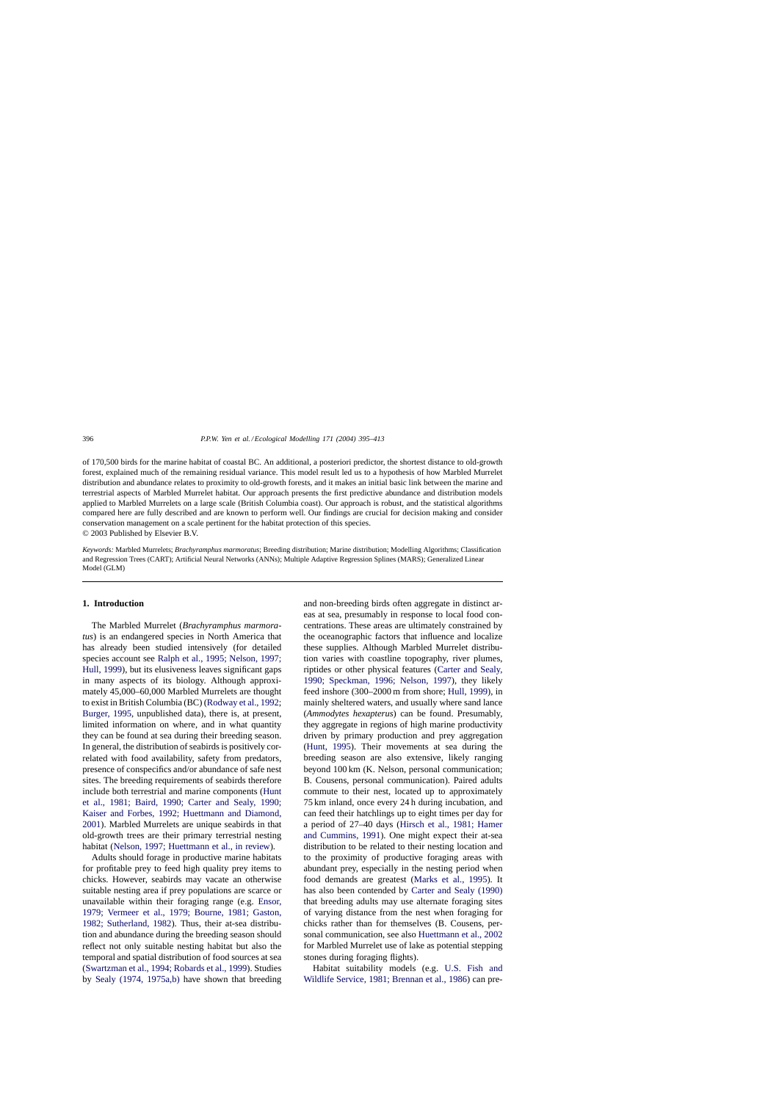of 170,500 birds for the marine habitat of coastal BC. An additional, a posteriori predictor, the shortest distance to old-growth forest, explained much of the remaining residual variance. This model result led us to a hypothesis of how Marbled Murrelet distribution and abundance relates to proximity to old-growth forests, and it makes an initial basic link between the marine and terrestrial aspects of Marbled Murrelet habitat. Our approach presents the first predictive abundance and distribution models applied to Marbled Murrelets on a large scale (British Columbia coast). Our approach is robust, and the statistical algorithms compared here are fully described and are known to perform well. Our findings are crucial for decision making and consider conservation management on a scale pertinent for the habitat protection of this species. © 2003 Published by Elsevier B.V.

*Keywords:* Marbled Murrelets; *Brachyramphus marmoratus*; Breeding distribution; Marine distribution; Modelling Algorithms; Classification and Regression Trees (CART); Artificial Neural Networks (ANNs); Multiple Adaptive Regression Splines (MARS); Generalized Linear Model (GLM)

#### **1. Introduction**

The Marbled Murrelet (*Brachyramphus marmoratus*) is an endangered species in North America that has already been studied intensively (for detailed species account see [Ralph et al., 1995; Nelson, 1997;](#page-17-0) [Hull, 1999\),](#page-17-0) but its elusiveness leaves significant gaps in many aspects of its biology. Although approximately 45,000–60,000 Marbled Murrelets are thought to exist in British Columbia (BC) ([Rodway et al., 1992;](#page-17-0) [Burger, 1995,](#page-15-0) unpublished data), there is, at present, limited information on where, and in what quantity they can be found at sea during their breeding season. In general, the distribution of seabirds is positively correlated with food availability, safety from predators, presence of conspecifics and/or abundance of safe nest sites. The breeding requirements of seabirds therefore include both terrestrial and marine components ([Hunt](#page-16-0) [et al., 1981; Baird, 1990; Carter and Sealy, 1990;](#page-16-0) [Kaiser and Forbes, 1992; Huettmann and Diamond,](#page-16-0) [2001\).](#page-16-0) Marbled Murrelets are unique seabirds in that old-growth trees are their primary terrestrial nesting habitat ([Nelson, 1997; Huettmann et al., in review\).](#page-17-0)

Adults should forage in productive marine habitats for profitable prey to feed high quality prey items to chicks. However, seabirds may vacate an otherwise suitable nesting area if prey populations are scarce or unavailable within their foraging range (e.g. [Ensor,](#page-16-0) [1979; Vermeer et al., 1979; Bourne, 1981; Gaston,](#page-16-0) [1982; Sutherland, 1982\)](#page-16-0). Thus, their at-sea distribution and abundance during the breeding season should reflect not only suitable nesting habitat but also the temporal and spatial distribution of food sources at sea ([Swartzman et al., 1994; Robards et al., 1999\). S](#page-18-0)tudies by [Sealy \(1974, 1975a,b\)](#page-17-0) have shown that breeding and non-breeding birds often aggregate in distinct areas at sea, presumably in response to local food concentrations. These areas are ultimately constrained by the oceanographic factors that influence and localize these supplies. Although Marbled Murrelet distribution varies with coastline topography, river plumes, riptides or other physical features [\(Carter and Sealy,](#page-15-0) [1990; Speckman, 1996; Nelson, 1997](#page-15-0)), they likely feed inshore (300–2000 m from shore; [Hull, 1999\),](#page-16-0) in mainly sheltered waters, and usually where sand lance (*Ammodytes hexapterus*) can be found. Presumably, they aggregate in regions of high marine productivity driven by primary production and prey aggregation ([Hunt, 1995\)](#page-16-0). Their movements at sea during the breeding season are also extensive, likely ranging beyond 100 km (K. Nelson, personal communication; B. Cousens, personal communication). Paired adults commute to their nest, located up to approximately 75 km inland, once every 24 h during incubation, and can feed their hatchlings up to eight times per day for a period of 27–40 days [\(Hirsch et al., 1981; Hamer](#page-16-0) [and Cummins, 1991\).](#page-16-0) One might expect their at-sea distribution to be related to their nesting location and to the proximity of productive foraging areas with abundant prey, especially in the nesting period when food demands are greatest ([Marks et al., 1995](#page-17-0)). It has also been contended by [Carter and Sealy \(1990\)](#page-15-0) that breeding adults may use alternate foraging sites of varying distance from the nest when foraging for chicks rather than for themselves (B. Cousens, personal communication, see also [Huettmann et al., 2002](#page-16-0) for Marbled Murrelet use of lake as potential stepping stones during foraging flights).

Habitat suitability models (e.g. [U.S. Fish and](#page-18-0) [Wildlife Service, 1981; Brennan et al., 1986\) c](#page-18-0)an pre-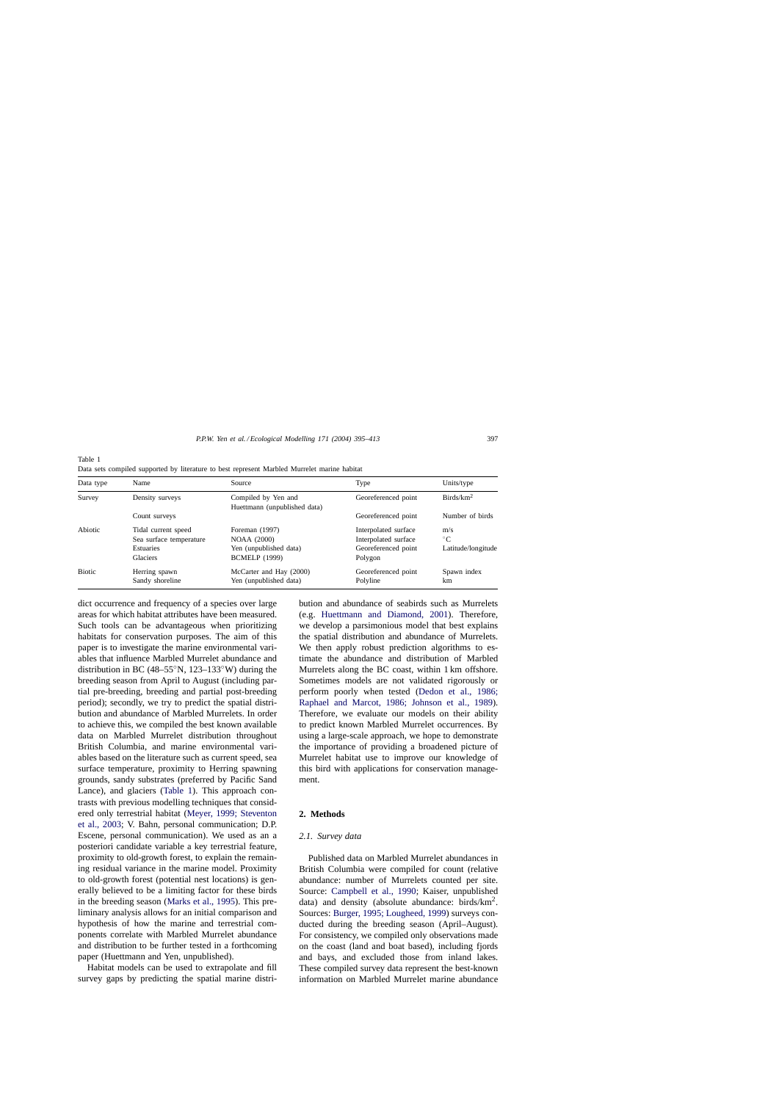| Data type     | Name                    | Source                                              | Type                 | Units/type            |
|---------------|-------------------------|-----------------------------------------------------|----------------------|-----------------------|
| Survey        | Density surveys         | Compiled by Yen and<br>Huettmann (unpublished data) | Georeferenced point  | Birds/km <sup>2</sup> |
|               | Count surveys           |                                                     | Georeferenced point  | Number of birds       |
| Abiotic       | Tidal current speed     | Foreman (1997)                                      | Interpolated surface | m/s                   |
|               | Sea surface temperature | <b>NOAA</b> (2000)                                  | Interpolated surface | $\rm ^{\circ}C$       |
|               | Estuaries               | Yen (unpublished data)                              | Georeferenced point  | Latitude/longitude    |
|               | <b>Glaciers</b>         | <b>BCMELP</b> (1999)                                | Polygon              |                       |
| <b>Biotic</b> | Herring spawn           | McCarter and Hay (2000)                             | Georeferenced point  | Spawn index           |
|               | Sandy shoreline         | Yen (unpublished data)                              | Polyline             | km                    |

<span id="page-2-0"></span>

| Table 1                                                                                      |  |  |  |  |
|----------------------------------------------------------------------------------------------|--|--|--|--|
| Data sets compiled supported by literature to best represent Marbled Murrelet marine habitat |  |  |  |  |

dict occurrence and frequency of a species over large areas for which habitat attributes have been measured. Such tools can be advantageous when prioritizing habitats for conservation purposes. The aim of this paper is to investigate the marine environmental variables that influence Marbled Murrelet abundance and distribution in BC (48–55 $\degree$ N, 123–133 $\degree$ W) during the breeding season from April to August (including partial pre-breeding, breeding and partial post-breeding period); secondly, we try to predict the spatial distribution and abundance of Marbled Murrelets. In order to achieve this, we compiled the best known available data on Marbled Murrelet distribution throughout British Columbia, and marine environmental variables based on the literature such as current speed, sea surface temperature, proximity to Herring spawning grounds, sandy substrates (preferred by Pacific Sand Lance), and glaciers (Table 1). This approach contrasts with previous modelling techniques that considered only terrestrial habitat [\(Meyer, 1999; Steventon](#page-17-0) [et al., 2003;](#page-17-0) V. Bahn, personal communication; D.P. Escene, personal communication). We used as an a posteriori candidate variable a key terrestrial feature, proximity to old-growth forest, to explain the remaining residual variance in the marine model. Proximity to old-growth forest (potential nest locations) is generally believed to be a limiting factor for these birds in the breeding season ([Marks et al., 1995\).](#page-17-0) This preliminary analysis allows for an initial comparison and hypothesis of how the marine and terrestrial components correlate with Marbled Murrelet abundance and distribution to be further tested in a forthcoming paper (Huettmann and Yen, unpublished).

Habitat models can be used to extrapolate and fill survey gaps by predicting the spatial marine distribution and abundance of seabirds such as Murrelets (e.g. [Huettmann and Diamond, 2001](#page-16-0)). Therefore, we develop a parsimonious model that best explains the spatial distribution and abundance of Murrelets. We then apply robust prediction algorithms to estimate the abundance and distribution of Marbled Murrelets along the BC coast, within 1 km offshore. Sometimes models are not validated rigorously or perform poorly when tested ([Dedon et al., 1986](#page-16-0); [Raphael and Marcot, 1986; Johnson et al., 19](#page-16-0)89). Therefore, we evaluate our models on their ability to predict known Marbled Murrelet occurrences. By using a large-scale approach, we hope to demonstrate the importance of providing a broadened picture of Murrelet habitat use to improve our knowledge of this bird with applications for conservation management.

## **2. Methods**

## *2.1. Survey data*

Published data on Marbled Murrelet abundances in British Columbia were compiled for count (relative abundance: number of Murrelets counted per site. Source: [Campbell et al., 1990](#page-15-0); Kaiser, unpublished data) and density (absolute abundance: birds/km<sup>2</sup>. Sources: [Burger, 1995; Lougheed, 1999\) s](#page-15-0)urveys conducted during the breeding season (April–August). For consistency, we compiled only observations made on the coast (land and boat based), including fjords and bays, and excluded those from inland lakes. These compiled survey data represent the best-known information on Marbled Murrelet marine abundance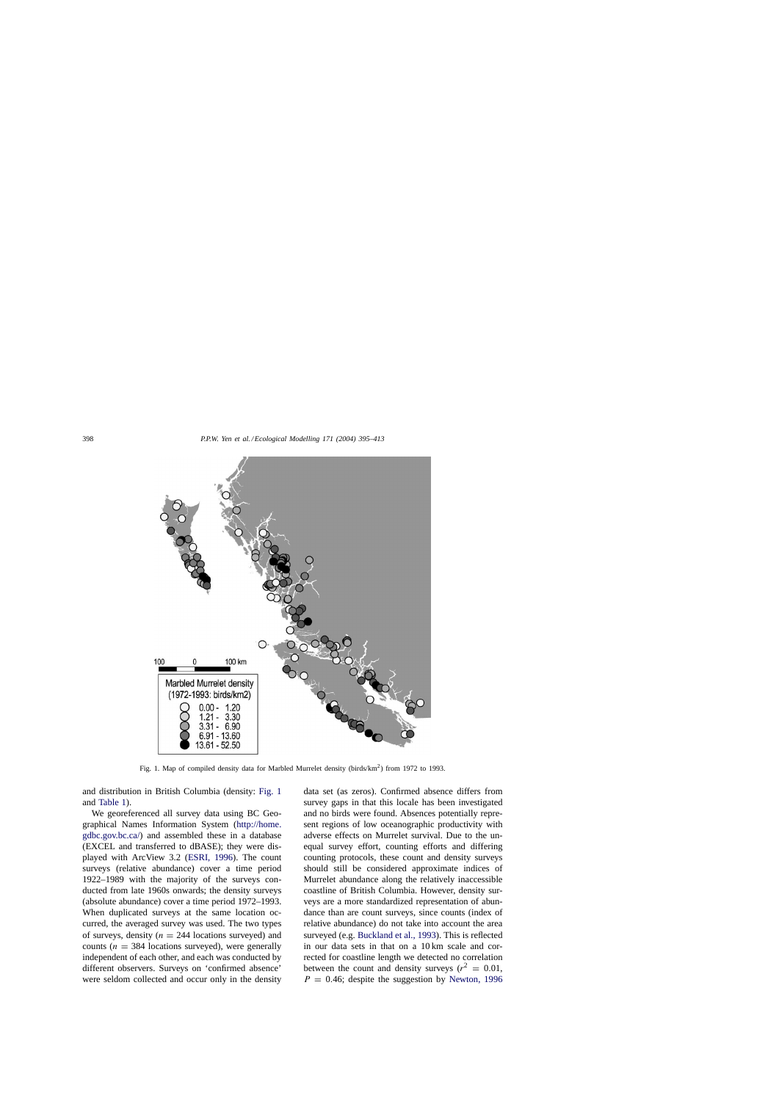<span id="page-3-0"></span>

Fig. 1. Map of compiled density data for Marbled Murrelet density (birds/km<sup>2</sup>) from 1972 to 1993.

and distribution in British Columbia (density: Fig. 1 and [Table 1\).](#page-2-0)

We georeferenced all survey data using BC Geographical Names Information System [\(http://home.](http://home.gdbc.gov.bc.ca/) [gdbc.gov.bc.ca/](http://home.gdbc.gov.bc.ca/)) and assembled these in a database (EXCEL and transferred to dBASE); they were displayed with ArcView 3.2 [\(ESRI, 1996\)](#page-16-0). The count surveys (relative abundance) cover a time period 1922–1989 with the majority of the surveys conducted from late 1960s onwards; the density surveys (absolute abundance) cover a time period 1972–1993. When duplicated surveys at the same location occurred, the averaged survey was used. The two types of surveys, density ( $n = 244$  locations surveyed) and counts ( $n = 384$  locations surveyed), were generally independent of each other, and each was conducted by different observers. Surveys on 'confirmed absence' were seldom collected and occur only in the density data set (as zeros). Confirmed absence differs from survey gaps in that this locale has been investigated and no birds were found. Absences potentially represent regions of low oceanographic productivity with adverse effects on Murrelet survival. Due to the unequal survey effort, counting efforts and differing counting protocols, these count and density surveys should still be considered approximate indices of Murrelet abundance along the relatively inaccessible coastline of British Columbia. However, density surveys are a more standardized representation of abundance than are count surveys, since counts (index of relative abundance) do not take into account the area surveyed (e.g. [Buckland et al., 1993\).](#page-15-0) This is reflected in our data sets in that on a 10 km scale and corrected for coastline length we detected no correlation between the count and density surveys ( $r^2 = 0.01$ ,  $P = 0.46$ ; despite the suggestion by [Newton, 1996](#page-17-0)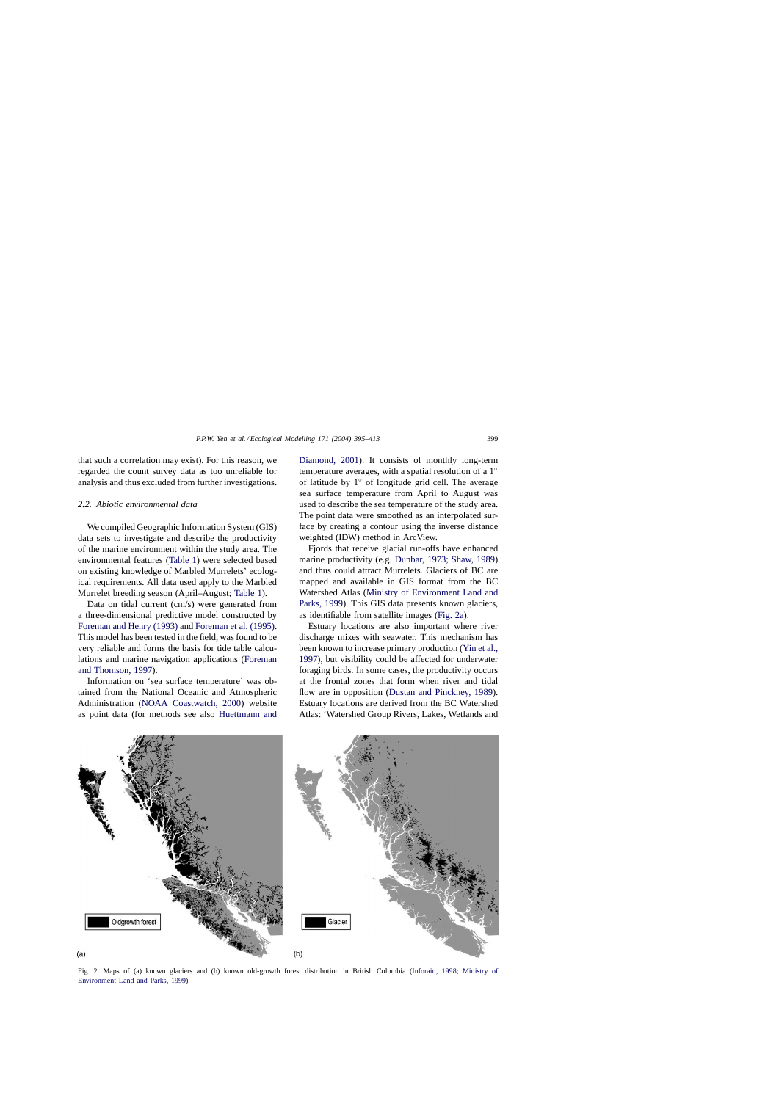<span id="page-4-0"></span>that such a correlation may exist). For this reason, we regarded the count survey data as too unreliable for analysis and thus excluded from further investigations.

## *2.2. Abiotic environmental data*

We compiled Geographic Information System (GIS) data sets to investigate and describe the productivity of the marine environment within the study area. The environmental features ([Table 1\)](#page-2-0) were selected based on existing knowledge of Marbled Murrelets' ecological requirements. All data used apply to the Marbled Murrelet breeding season (April–August; [Table 1\).](#page-2-0)

Data on tidal current (cm/s) were generated from a three-dimensional predictive model constructed by [Foreman and Henry \(1993\)](#page-16-0) and [Foreman et al. \(1995\).](#page-16-0) This model has been tested in the field, was found to be very reliable and forms the basis for tide table calculations and marine navigation applications [\(Foreman](#page-16-0) [and Thomson, 1997\).](#page-16-0)

Information on 'sea surface temperature' was obtained from the National Oceanic and Atmospheric Administration [\(NOAA Coastwatch, 2000\)](#page-17-0) website as point data (for methods see also [Huettmann and](#page-16-0) [Diamond, 2001\)](#page-16-0). It consists of monthly long-term temperature averages, with a spatial resolution of a 1◦ of latitude by 1◦ of longitude grid cell. The average sea surface temperature from April to August was used to describe the sea temperature of the study area. The point data were smoothed as an interpolated surface by creating a contour using the inverse distance weighted (IDW) method in ArcView.

Fjords that receive glacial run-offs have enhanced marine productivity (e.g. [Dunbar, 1973; Shaw, 1989\)](#page-16-0) and thus could attract Murrelets. Glaciers of BC are mapped and available in GIS format from the BC Watershed Atlas [\(Ministry of Environment Land and](#page-17-0) [Parks, 1999\).](#page-17-0) This GIS data presents known glaciers, as identifiable from satellite images (Fig. 2a).

Estuary locations are also important where river discharge mixes with seawater. This mechanism has been known to increase primary production ([Yin et al.,](#page-18-0) [1997\),](#page-18-0) but visibility could be affected for underwater foraging birds. In some cases, the productivity occurs at the frontal zones that form when river and tidal flow are in opposition ([Dustan and Pinckney, 1989\)](#page-16-0). Estuary locations are derived from the BC Watershed Atlas: 'Watershed Group Rivers, Lakes, Wetlands and



Fig. 2. Maps of (a) known glaciers and (b) known old-growth forest distribution in British Columbia ([Inforain, 1998;](#page-16-0) [Ministry of](#page-17-0) [Environment Land and Parks, 1999\).](#page-17-0)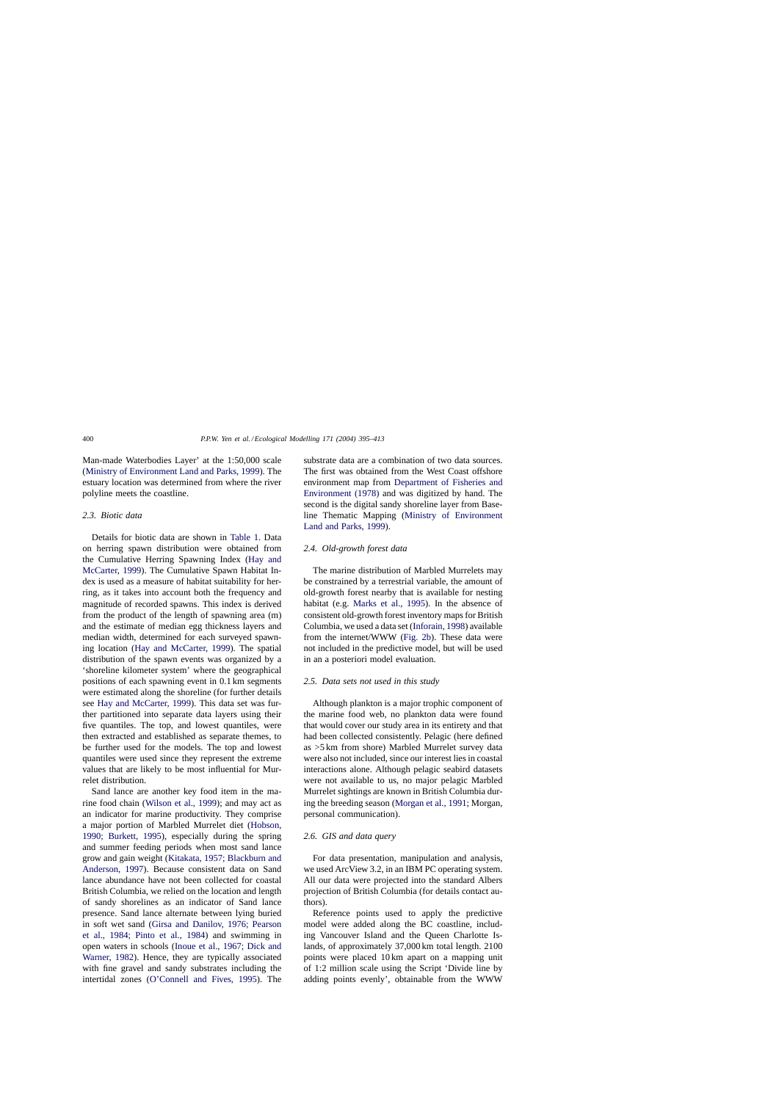Man-made Waterbodies Layer' at the 1:50,000 scale ([Ministry of Environment Land and Parks, 1999\). T](#page-17-0)he estuary location was determined from where the river polyline meets the coastline.

## *2.3. Biotic data*

Details for biotic data are shown in [Table 1.](#page-2-0) Data on herring spawn distribution were obtained from the Cumulative Herring Spawning Index ([Hay and](#page-16-0) [McCarter, 1999\).](#page-16-0) The Cumulative Spawn Habitat Index is used as a measure of habitat suitability for herring, as it takes into account both the frequency and magnitude of recorded spawns. This index is derived from the product of the length of spawning area (m) and the estimate of median egg thickness layers and median width, determined for each surveyed spawning location ([Hay and McCarter, 1999\)](#page-16-0). The spatial distribution of the spawn events was organized by a 'shoreline kilometer system' where the geographical positions of each spawning event in 0.1 km segments were estimated along the shoreline (for further details see [Hay and McCarter, 1999\).](#page-16-0) This data set was further partitioned into separate data layers using their five quantiles. The top, and lowest quantiles, were then extracted and established as separate themes, to be further used for the models. The top and lowest quantiles were used since they represent the extreme values that are likely to be most influential for Murrelet distribution.

Sand lance are another key food item in the marine food chain [\(Wilson et al., 1999\);](#page-18-0) and may act as an indicator for marine productivity. They comprise a major portion of Marbled Murrelet diet ([Hobson,](#page-16-0) [1990; Burkett, 1995\)](#page-16-0), especially during the spring and summer feeding periods when most sand lance grow and gain weight ([Kitakata, 1957; Blackburn and](#page-16-0) [Anderson, 1997\)](#page-16-0). Because consistent data on Sand lance abundance have not been collected for coastal British Columbia, we relied on the location and length of sandy shorelines as an indicator of Sand lance presence. Sand lance alternate between lying buried in soft wet sand [\(Girsa and Danilov, 1976; Pearson](#page-16-0) [et al., 1984; Pinto et al., 198](#page-16-0)4) and swimming in open waters in schools [\(Inoue et al., 1967; Dick and](#page-16-0) [Warner, 1982\).](#page-16-0) Hence, they are typically associated with fine gravel and sandy substrates including the intertidal zones ([O'Connell and Fives, 1995](#page-17-0)). The substrate data are a combination of two data sources. The first was obtained from the West Coast offshore environment map from [Department of Fisheries and](#page-16-0) [Environment \(1978\)](#page-16-0) and was digitized by hand. The second is the digital sandy shoreline layer from Baseline Thematic Mapping ([Ministry of Environment](#page-17-0) [Land and Parks, 1999\).](#page-17-0)

# *2.4. Old-growth forest data*

The marine distribution of Marbled Murrelets may be constrained by a terrestrial variable, the amount of old-growth forest nearby that is available for nesting habitat (e.g. [Marks et al., 1995\)](#page-17-0). In the absence of consistent old-growth forest inventory maps for British Columbia, we used a data set ([Inforain, 1998\) a](#page-16-0)vailable from the internet/WWW [\(Fig. 2b\).](#page-4-0) These data were not included in the predictive model, but will be used in an a posteriori model evaluation.

#### *2.5. Data sets not used in this study*

Although plankton is a major trophic component of the marine food web, no plankton data were found that would cover our study area in its entirety and that had been collected consistently. Pelagic (here defined as >5 km from shore) Marbled Murrelet survey data were also not included, since our interest lies in coastal interactions alone. Although pelagic seabird datasets were not available to us, no major pelagic Marbled Murrelet sightings are known in British Columbia during the breeding season [\(Morgan et al., 1991; M](#page-17-0)organ, personal communication).

## *2.6. GIS and data query*

For data presentation, manipulation and analysis, we used ArcView 3.2, in an IBM PC operating system. All our data were projected into the standard Albers projection of British Columbia (for details contact authors).

Reference points used to apply the predictive model were added along the BC coastline, including Vancouver Island and the Queen Charlotte Islands, of approximately 37,000 km total length. 2100 points were placed 10 km apart on a mapping unit of 1:2 million scale using the Script 'Divide line by adding points evenly', obtainable from the WWW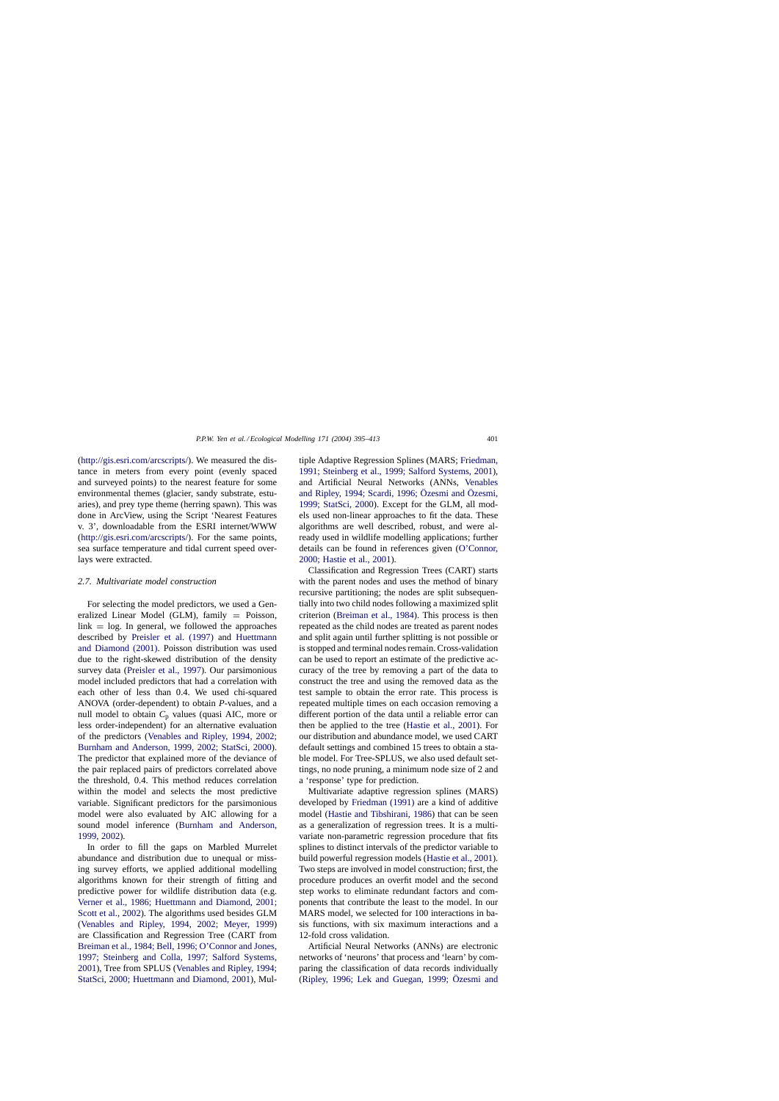(<http://gis.esri.com/arcscripts/>). We measured the distance in meters from every point (evenly spaced and surveyed points) to the nearest feature for some environmental themes (glacier, sandy substrate, estuaries), and prey type theme (herring spawn). This was done in ArcView, using the Script 'Nearest Features v. 3', downloadable from the ESRI internet/WWW (<http://gis.esri.com/arcscripts/>). For the same points, sea surface temperature and tidal current speed overlays were extracted.

## *2.7. Multivariate model construction*

For selecting the model predictors, we used a Generalized Linear Model (GLM), family = Poisson,  $link = log.$  In general, we followed the approaches described by [Preisler et al. \(1997\)](#page-17-0) and [Huettmann](#page-16-0) [and Diamond \(2001\).](#page-16-0) Poisson distribution was used due to the right-skewed distribution of the density survey data [\(Preisler et al., 1997\).](#page-17-0) Our parsimonious model included predictors that had a correlation with each other of less than 0.4. We used chi-squared ANOVA (order-dependent) to obtain *P*-values, and a null model to obtain  $C_p$  values (quasi AIC, more or less order-independent) for an alternative evaluation of the predictors ([Venables and Ripley, 1994, 2002;](#page-18-0) [Burnham and Anderson, 1999, 2002; StatSci, 2000\)](#page-18-0). The predictor that explained more of the deviance of the pair replaced pairs of predictors correlated above the threshold, 0.4. This method reduces correlation within the model and selects the most predictive variable. Significant predictors for the parsimonious model were also evaluated by AIC allowing for a sound model inference [\(Burnham and Anderson](#page-15-0), [1999, 2002\).](#page-15-0)

In order to fill the gaps on Marbled Murrelet abundance and distribution due to unequal or missing survey efforts, we applied additional modelling algorithms known for their strength of fitting and predictive power for wildlife distribution data (e.g. [Verner et al., 1986; Huettmann and Diamond, 2001;](#page-18-0) [Scott et al., 2002\).](#page-18-0) The algorithms used besides GLM ([Venables and Ripley, 1994, 2002; Meyer, 19](#page-18-0)99) are Classification and Regression Tree (CART from [Breiman et al., 1984; Bell, 1996; O'Connor and Jones,](#page-15-0) [1997; Steinberg and Colla, 1997; Salford Systems,](#page-15-0) [2001\),](#page-15-0) Tree from SPLUS ([Venables and Ripley, 1994;](#page-18-0) [StatSci, 2000; Huettmann and Diamond, 2001\),](#page-18-0) Multiple Adaptive Regression Splines (MARS; [Friedman,](#page-16-0) [1991; Steinberg et al., 1999; Salford Systems, 2001\),](#page-16-0) and Artificial Neural Networks (ANNs, [Venables](#page-18-0) [and Ripley, 1994; Scardi, 1996; Özesmi and Özesmi,](#page-18-0) [1999; StatSci, 2000\).](#page-18-0) Except for the GLM, all models used non-linear approaches to fit the data. These algorithms are well described, robust, and were already used in wildlife modelling applications; further details can be found in references given [\(O'Connor,](#page-17-0) [2000; Hastie et al., 2001\).](#page-17-0)

Classification and Regression Trees (CART) starts with the parent nodes and uses the method of binary recursive partitioning; the nodes are split subsequentially into two child nodes following a maximized split criterion ([Breiman et al., 1984\)](#page-15-0). This process is then repeated as the child nodes are treated as parent nodes and split again until further splitting is not possible or is stopped and terminal nodes remain. Cross-validation can be used to report an estimate of the predictive accuracy of the tree by removing a part of the data to construct the tree and using the removed data as the test sample to obtain the error rate. This process is repeated multiple times on each occasion removing a different portion of the data until a reliable error can then be applied to the tree ([Hastie et al., 2001\)](#page-16-0). For our distribution and abundance model, we used CART default settings and combined 15 trees to obtain a stable model. For Tree-SPLUS, we also used default settings, no node pruning, a minimum node size of 2 and a 'response' type for prediction.

Multivariate adaptive regression splines (MARS) developed by [Friedman \(1991\)](#page-16-0) are a kind of additive model ([Hastie and Tibshirani, 1986\)](#page-16-0) that can be seen as a generalization of regression trees. It is a multivariate non-parametric regression procedure that fits splines to distinct intervals of the predictor variable to build powerful regression models [\(Hastie et al., 2001\).](#page-16-0) Two steps are involved in model construction; first, the procedure produces an overfit model and the second step works to eliminate redundant factors and components that contribute the least to the model. In our MARS model, we selected for 100 interactions in basis functions, with six maximum interactions and a 12-fold cross validation.

Artificial Neural Networks (ANNs) are electronic networks of 'neurons' that process and 'learn' by comparing the classification of data records individually ([Ripley, 1996; Lek and Guegan, 1999; Özesmi and](#page-17-0)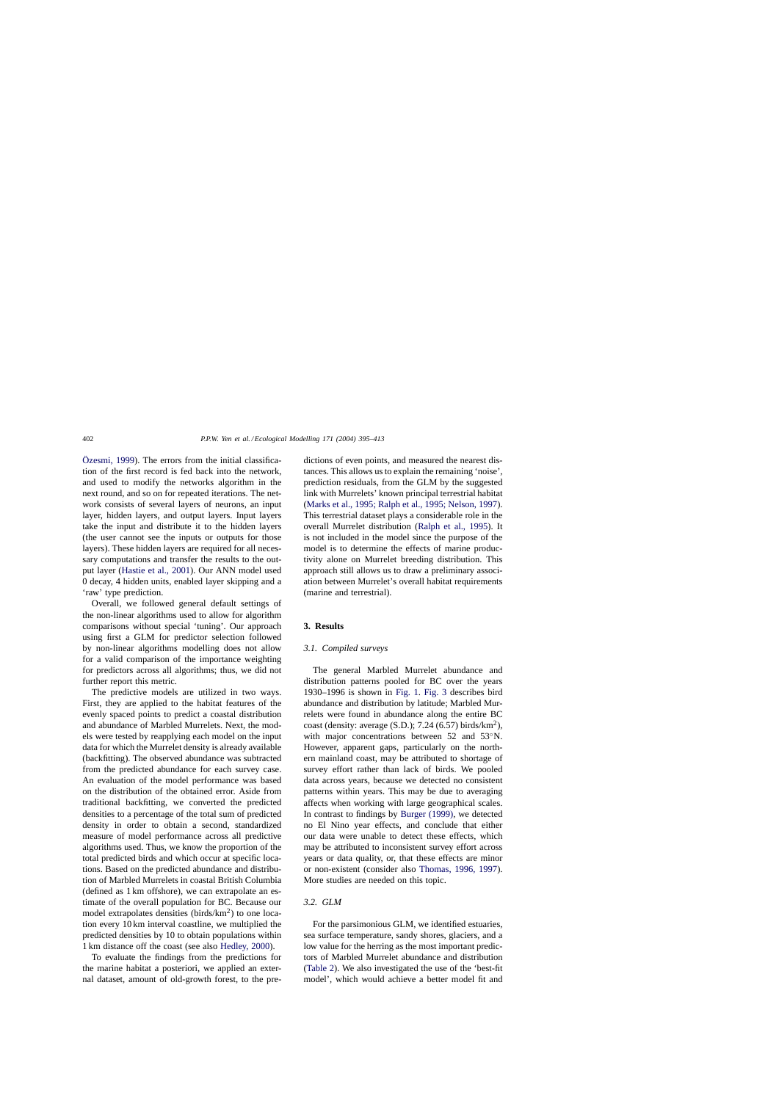[Özesmi, 1999\).](#page-17-0) The errors from the initial classification of the first record is fed back into the network, and used to modify the networks algorithm in the next round, and so on for repeated iterations. The network consists of several layers of neurons, an input layer, hidden layers, and output layers. Input layers take the input and distribute it to the hidden layers (the user cannot see the inputs or outputs for those layers). These hidden layers are required for all necessary computations and transfer the results to the output layer ([Hastie et al., 2001\).](#page-16-0) Our ANN model used 0 decay, 4 hidden units, enabled layer skipping and a 'raw' type prediction.

Overall, we followed general default settings of the non-linear algorithms used to allow for algorithm comparisons without special 'tuning'. Our approach using first a GLM for predictor selection followed by non-linear algorithms modelling does not allow for a valid comparison of the importance weighting for predictors across all algorithms; thus, we did not further report this metric.

The predictive models are utilized in two ways. First, they are applied to the habitat features of the evenly spaced points to predict a coastal distribution and abundance of Marbled Murrelets. Next, the models were tested by reapplying each model on the input data for which the Murrelet density is already available (backfitting). The observed abundance was subtracted from the predicted abundance for each survey case. An evaluation of the model performance was based on the distribution of the obtained error. Aside from traditional backfitting, we converted the predicted densities to a percentage of the total sum of predicted density in order to obtain a second, standardized measure of model performance across all predictive algorithms used. Thus, we know the proportion of the total predicted birds and which occur at specific locations. Based on the predicted abundance and distribution of Marbled Murrelets in coastal British Columbia (defined as 1 km offshore), we can extrapolate an estimate of the overall population for BC. Because our model extrapolates densities (birds/ $km^2$ ) to one location every 10 km interval coastline, we multiplied the predicted densities by 10 to obtain populations within 1 km distance off the coast (see also [Hedley, 2000\).](#page-16-0)

To evaluate the findings from the predictions for the marine habitat a posteriori, we applied an external dataset, amount of old-growth forest, to the predictions of even points, and measured the nearest distances. This allows us to explain the remaining 'noise', prediction residuals, from the GLM by the suggested link with Murrelets' known principal terrestrial habitat ([Marks et al., 1995; Ralph et al., 1995; Nelson, 1997\).](#page-17-0) This terrestrial dataset plays a considerable role in the overall Murrelet distribution [\(Ralph et al., 1995\)](#page-17-0). It is not included in the model since the purpose of the model is to determine the effects of marine productivity alone on Murrelet breeding distribution. This approach still allows us to draw a preliminary association between Murrelet's overall habitat requirements (marine and terrestrial).

## **3. Results**

## *3.1. Compiled surveys*

The general Marbled Murrelet abundance and distribution patterns pooled for BC over the years 1930–1996 is shown in [Fig. 1.](#page-3-0) [Fig. 3](#page-8-0) describes bird abundance and distribution by latitude; Marbled Murrelets were found in abundance along the entire BC coast (density: average  $(S.D.)$ ; 7.24 (6.57) birds/km<sup>2</sup>), with major concentrations between 52 and 53<sup>°</sup>N. However, apparent gaps, particularly on the northern mainland coast, may be attributed to shortage of survey effort rather than lack of birds. We pooled data across years, because we detected no consistent patterns within years. This may be due to averaging affects when working with large geographical scales. In contrast to findings by [Burger \(1999\),](#page-15-0) we detected no El Nino year effects, and conclude that either our data were unable to detect these effects, which may be attributed to inconsistent survey effort across years or data quality, or, that these effects are minor or non-existent (consider also [Thomas, 1996, 1997\)](#page-18-0). More studies are needed on this topic.

## *3.2. GLM*

For the parsimonious GLM, we identified estuaries, sea surface temperature, sandy shores, glaciers, and a low value for the herring as the most important predictors of Marbled Murrelet abundance and distribution ([Table 2\).](#page-8-0) We also investigated the use of the 'best-fit model', which would achieve a better model fit and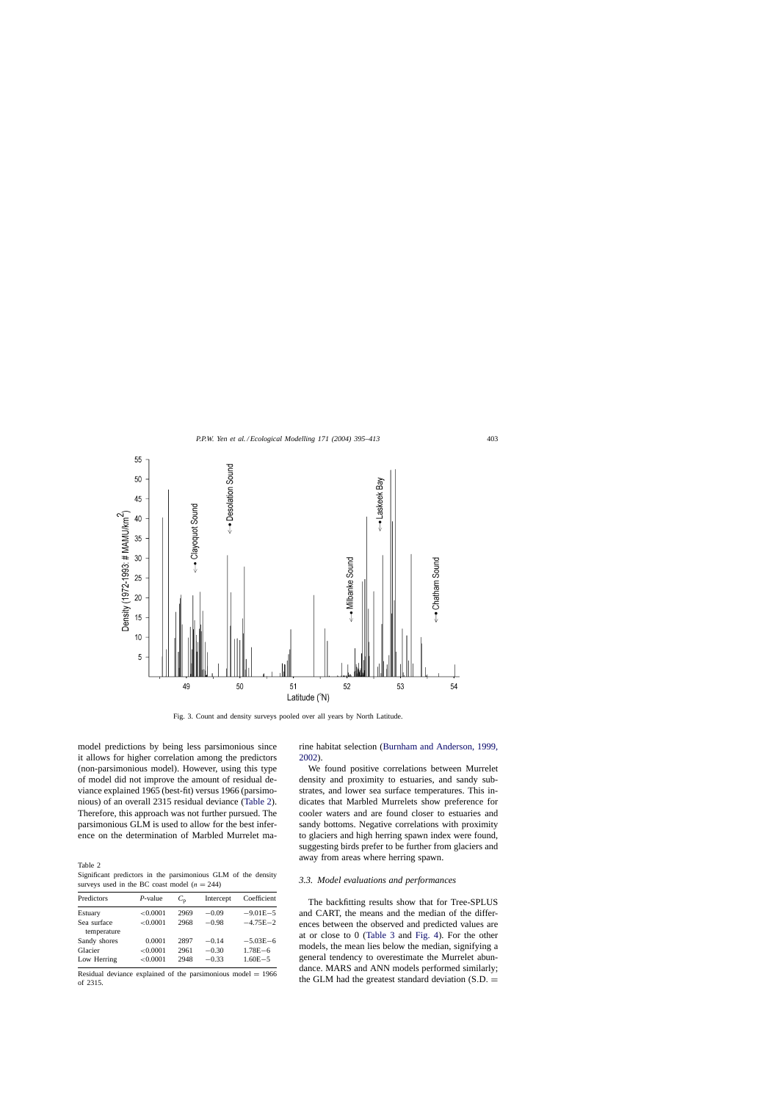<span id="page-8-0"></span>

Fig. 3. Count and density surveys pooled over all years by North Latitude.

model predictions by being less parsimonious since it allows for higher correlation among the predictors (non-parsimonious model). However, using this type of model did not improve the amount of residual deviance explained 1965 (best-fit) versus 1966 (parsimonious) of an overall 2315 residual deviance (Table 2). Therefore, this approach was not further pursued. The parsimonious GLM is used to allow for the best inference on the determination of Marbled Murrelet ma-

Table 2 Significant predictors in the parsimonious GLM of the density surveys used in the BC coast model ( $n = 244$ )

| Predictors                 | P-value  | $C_{p}$ | Intercept | Coefficient  |
|----------------------------|----------|---------|-----------|--------------|
| Estuary                    | < 0.0001 | 2969    | $-0.09$   | $-9.01E - 5$ |
| Sea surface<br>temperature | < 0.0001 | 2968    | $-0.98$   | $-4.75E - 2$ |
| Sandy shores               | 0.0001   | 2897    | $-0.14$   | $-5.03E - 6$ |
| Glacier                    | < 0.0001 | 2961    | $-0.30$   | $1.78E - 6$  |
| Low Herring                | < 0.0001 | 2948    | $-0.33$   | $1.60E - 5$  |
|                            |          |         |           |              |

Residual deviance explained of the parsimonious model  $= 1966$ of 2315.

rine habitat selection [\(Burnham and Anderson, 1999,](#page-15-0) [2002\).](#page-15-0)

We found positive correlations between Murrelet density and proximity to estuaries, and sandy substrates, and lower sea surface temperatures. This indicates that Marbled Murrelets show preference for cooler waters and are found closer to estuaries and sandy bottoms. Negative correlations with proximity to glaciers and high herring spawn index were found, suggesting birds prefer to be further from glaciers and away from areas where herring spawn.

#### *3.3. Model evaluations and performances*

The backfitting results show that for Tree-SPLUS and CART, the means and the median of the differences between the observed and predicted values are at or close to 0 ([Table 3](#page-9-0) and [Fig. 4\).](#page-9-0) For the other models, the mean lies below the median, signifying a general tendency to overestimate the Murrelet abundance. MARS and ANN models performed similarly; the GLM had the greatest standard deviation  $(S.D. =$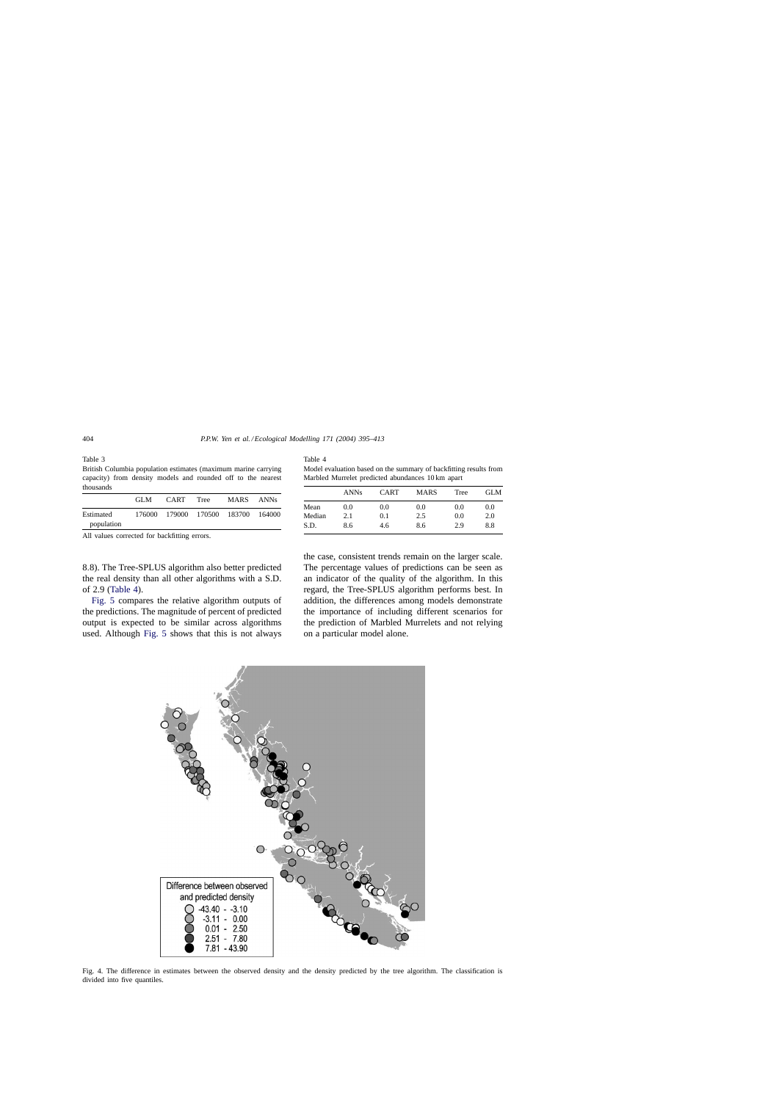<span id="page-9-0"></span>Table 3 British Columbia population estimates (maximum marine carrying capacity) from density models and rounded off to the nearest thousands

|                         | GL M   | <b>CART</b> | Tree                 | <b>MARS</b> | <b>ANNs</b> |
|-------------------------|--------|-------------|----------------------|-------------|-------------|
| Estimated<br>population | 176000 |             | 179000 170500 183700 |             | 164000      |

All values corrected for backfitting errors.

8.8). The Tree-SPLUS algorithm also better predicted the real density than all other algorithms with a S.D. of 2.9 (Table 4).

[Fig. 5](#page-10-0) compares the relative algorithm outputs of the predictions. The magnitude of percent of predicted output is expected to be similar across algorithms used. Although [Fig. 5](#page-10-0) shows that this is not always

| Table 4                                                           |
|-------------------------------------------------------------------|
| Model evaluation based on the summary of backfitting results from |
| Marbled Murrelet predicted abundances 10 km apart                 |

|        | <b>ANNs</b> | <b>CART</b> | MARS | Tree | GL M |  |
|--------|-------------|-------------|------|------|------|--|
| Mean   | 0.0         | 0.0         | 0.0  | 0.0  | 0.0  |  |
| Median | 2.1         | 0.1         | 2.5  | 0.0  | 2.0  |  |
| S.D.   | 8.6         | 4.6         | 8.6  | 2.9  | 8.8  |  |

the case, consistent trends remain on the larger scale. The percentage values of predictions can be seen as an indicator of the quality of the algorithm. In this regard, the Tree-SPLUS algorithm performs best. In addition, the differences among models demonstrate the importance of including different scenarios for the prediction of Marbled Murrelets and not relying on a particular model alone.



Fig. 4. The difference in estimates between the observed density and the density predicted by the tree algorithm. The classification is divided into five quantiles.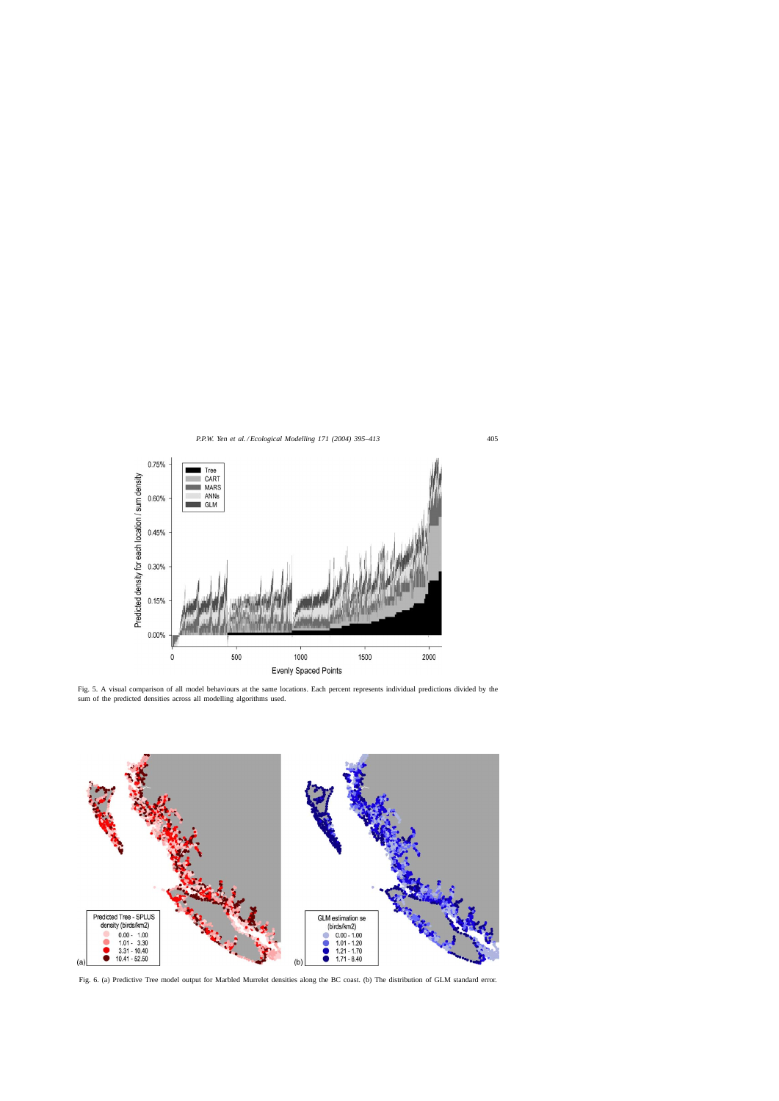<span id="page-10-0"></span>

Fig. 5. A visual comparison of all model behaviours at the same locations. Each percent represents individual predictions divided by the sum of the predicted densities across all modelling algorithms used.



Fig. 6. (a) Predictive Tree model output for Marbled Murrelet densities along the BC coast. (b) The distribution of GLM standard error.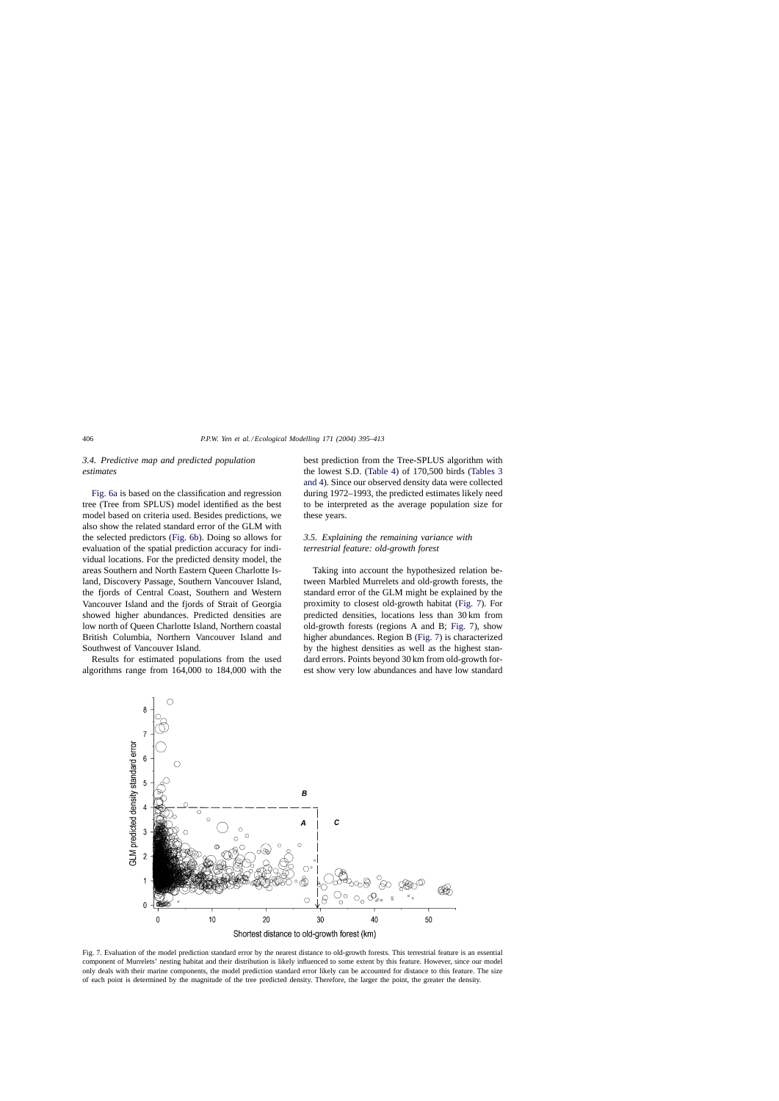# <span id="page-11-0"></span>*3.4. Predictive map and predicted population estimates*

[Fig. 6a](#page-10-0) is based on the classification and regression tree (Tree from SPLUS) model identified as the best model based on criteria used. Besides predictions, we also show the related standard error of the GLM with the selected predictors [\(Fig. 6b\).](#page-10-0) Doing so allows for evaluation of the spatial prediction accuracy for individual locations. For the predicted density model, the areas Southern and North Eastern Queen Charlotte Island, Discovery Passage, Southern Vancouver Island, the fjords of Central Coast, Southern and Western Vancouver Island and the fjords of Strait of Georgia showed higher abundances. Predicted densities are low north of Queen Charlotte Island, Northern coastal British Columbia, Northern Vancouver Island and Southwest of Vancouver Island.

Results for estimated populations from the used algorithms range from 164,000 to 184,000 with the best prediction from the Tree-SPLUS algorithm with the lowest S.D. ([Table 4\)](#page-9-0) of 170,500 birds [\(Tables 3](#page-9-0) [and 4\).](#page-9-0) Since our observed density data were collected during 1972–1993, the predicted estimates likely need to be interpreted as the average population size for these years.

# *3.5. Explaining the remaining variance with terrestrial feature: old-growth forest*

Taking into account the hypothesized relation between Marbled Murrelets and old-growth forests, the standard error of the GLM might be explained by the proximity to closest old-growth habitat (Fig. 7). For predicted densities, locations less than 30 km from old-growth forests (regions A and B; Fig. 7), show higher abundances. Region B (Fig. 7) is characterized by the highest densities as well as the highest standard errors. Points beyond 30 km from old-growth forest show very low abundances and have low standard



Fig. 7. Evaluation of the model prediction standard error by the nearest distance to old-growth forests. This terrestrial feature is an essential component of Murrelets' nesting habitat and their distribution is likely influenced to some extent by this feature. However, since our model only deals with their marine components, the model prediction standard error likely can be accounted for distance to this feature. The size of each point is determined by the magnitude of the tree predicted density. Therefore, the larger the point, the greater the density.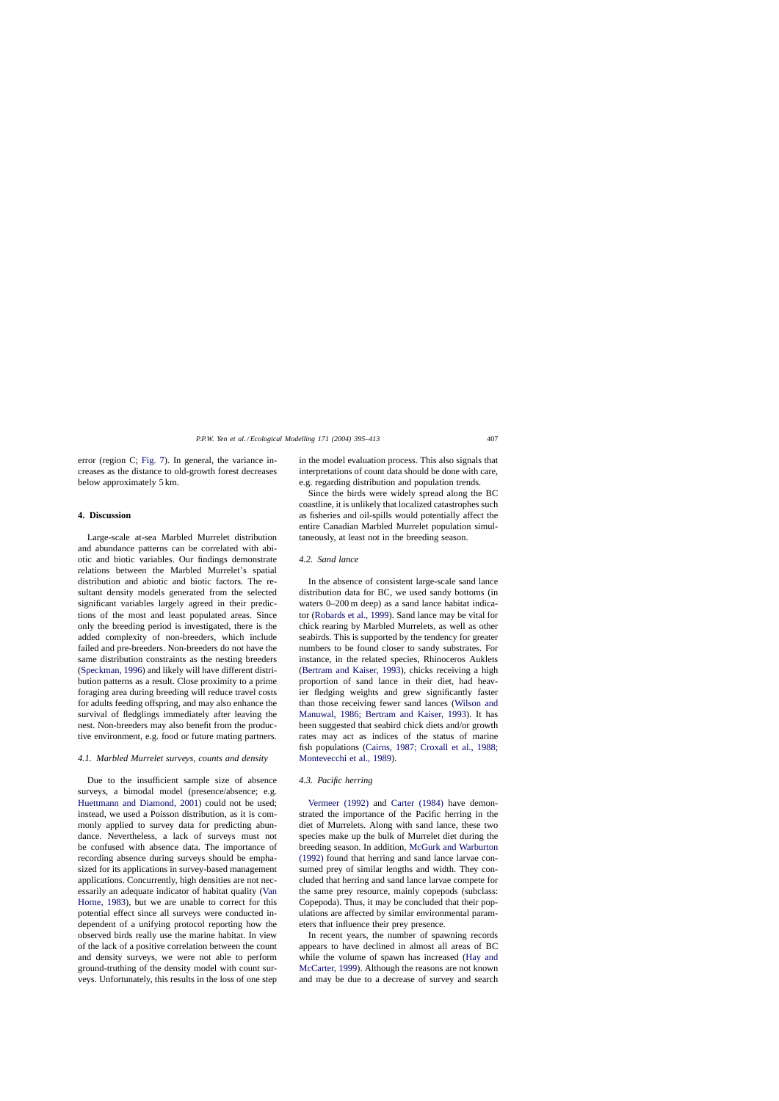error (region C; [Fig. 7\).](#page-11-0) In general, the variance increases as the distance to old-growth forest decreases below approximately 5 km.

## **4. Discussion**

Large-scale at-sea Marbled Murrelet distribution and abundance patterns can be correlated with abiotic and biotic variables. Our findings demonstrate relations between the Marbled Murrelet's spatial distribution and abiotic and biotic factors. The resultant density models generated from the selected significant variables largely agreed in their predictions of the most and least populated areas. Since only the breeding period is investigated, there is the added complexity of non-breeders, which include failed and pre-breeders. Non-breeders do not have the same distribution constraints as the nesting breeders ([Speckman, 1996\) a](#page-17-0)nd likely will have different distribution patterns as a result. Close proximity to a prime foraging area during breeding will reduce travel costs for adults feeding offspring, and may also enhance the survival of fledglings immediately after leaving the nest. Non-breeders may also benefit from the productive environment, e.g. food or future mating partners.

## *4.1. Marbled Murrelet surveys, counts and density*

Due to the insufficient sample size of absence surveys, a bimodal model (presence/absence; e.g. [Huettmann and Diamond, 2001\)](#page-16-0) could not be used; instead, we used a Poisson distribution, as it is commonly applied to survey data for predicting abundance. Nevertheless, a lack of surveys must not be confused with absence data. The importance of recording absence during surveys should be emphasized for its applications in survey-based management applications. Concurrently, high densities are not necessarily an adequate indicator of habitat quality [\(Van](#page-18-0) [Horne, 1983\),](#page-18-0) but we are unable to correct for this potential effect since all surveys were conducted independent of a unifying protocol reporting how the observed birds really use the marine habitat. In view of the lack of a positive correlation between the count and density surveys, we were not able to perform ground-truthing of the density model with count surveys. Unfortunately, this results in the loss of one step in the model evaluation process. This also signals that interpretations of count data should be done with care, e.g. regarding distribution and population trends.

Since the birds were widely spread along the BC coastline, it is unlikely that localized catastrophes such as fisheries and oil-spills would potentially affect the entire Canadian Marbled Murrelet population simultaneously, at least not in the breeding season.

## *4.2. Sand lance*

In the absence of consistent large-scale sand lance distribution data for BC, we used sandy bottoms (in waters 0–200 m deep) as a sand lance habitat indicator [\(Robards et al., 1999\).](#page-17-0) Sand lance may be vital for chick rearing by Marbled Murrelets, as well as other seabirds. This is supported by the tendency for greater numbers to be found closer to sandy substrates. For instance, in the related species, Rhinoceros Auklets ([Bertram and Kaiser, 1993\)](#page-15-0), chicks receiving a high proportion of sand lance in their diet, had heavier fledging weights and grew significantly faster than those receiving fewer sand lances ([Wilson and](#page-18-0) [Manuwal, 1986; Bertram and Kaiser, 1993](#page-18-0)). It has been suggested that seabird chick diets and/or growth rates may act as indices of the status of marine fish populations ([Cairns, 1987; Croxall et al., 1988;](#page-15-0) [Montevecchi et al., 1989\).](#page-15-0)

# *4.3. Pacific herring*

[Vermeer \(1992\)](#page-18-0) and [Carter \(1984\)](#page-15-0) have demonstrated the importance of the Pacific herring in the diet of Murrelets. Along with sand lance, these two species make up the bulk of Murrelet diet during the breeding season. In addition, [McGurk and Warburton](#page-17-0) [\(1992\)](#page-17-0) found that herring and sand lance larvae consumed prey of similar lengths and width. They concluded that herring and sand lance larvae compete for the same prey resource, mainly copepods (subclass: Copepoda). Thus, it may be concluded that their populations are affected by similar environmental parameters that influence their prey presence.

In recent years, the number of spawning records appears to have declined in almost all areas of BC while the volume of spawn has increased ([Hay and](#page-16-0) [McCarter, 1999\).](#page-16-0) Although the reasons are not known and may be due to a decrease of survey and search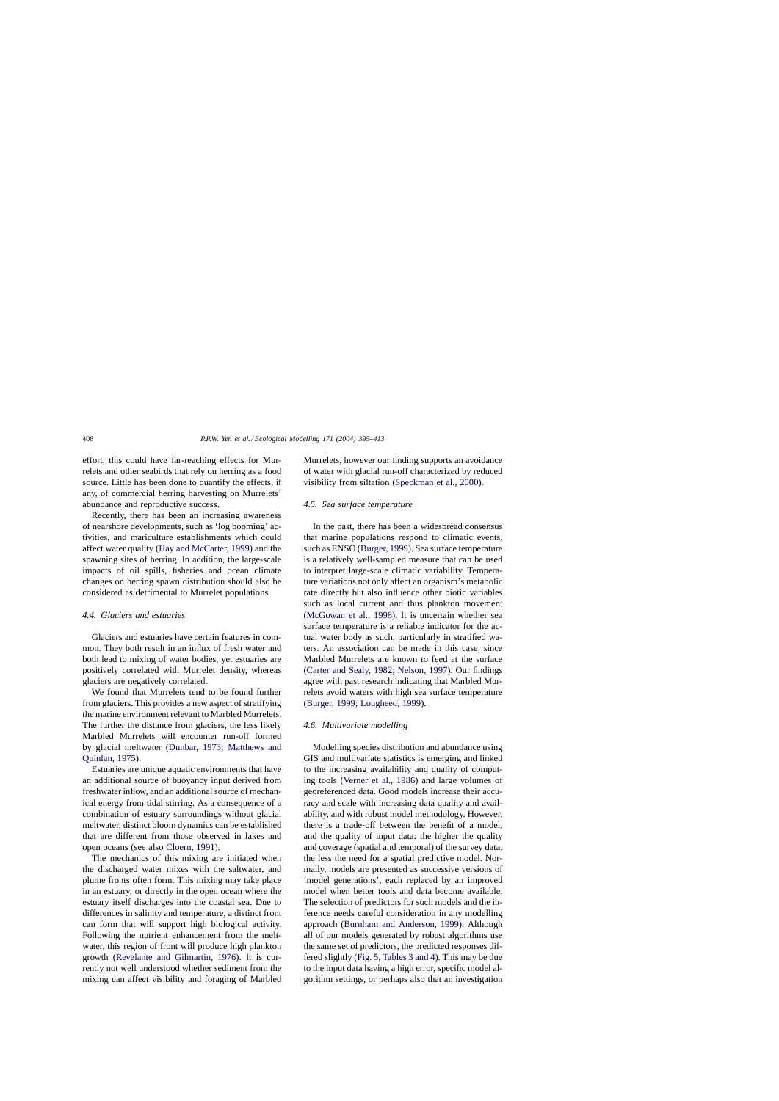effort, this could have far-reaching effects for Murrelets and other seabirds that rely on herring as a food source. Little has been done to quantify the effects, if any, of commercial herring harvesting on Murrelets' abundance and reproductive success.

Recently, there has been an increasing awareness of nearshore developments, such as 'log booming' activities, and mariculture establishments which could affect water quality ([Hay and McCarter, 1999\) a](#page-16-0)nd the spawning sites of herring. In addition, the large-scale impacts of oil spills, fisheries and ocean climate changes on herring spawn distribution should also be considered as detrimental to Murrelet populations.

## *4.4. Glaciers and estuaries*

Glaciers and estuaries have certain features in common. They both result in an influx of fresh water and both lead to mixing of water bodies, yet estuaries are positively correlated with Murrelet density, whereas glaciers are negatively correlated.

We found that Murrelets tend to be found further from glaciers. This provides a new aspect of stratifying the marine environment relevant to Marbled Murrelets. The further the distance from glaciers, the less likely Marbled Murrelets will encounter run-off formed by glacial meltwater ([Dunbar, 1973; Matthews and](#page-16-0) [Quinlan, 1975\).](#page-16-0)

Estuaries are unique aquatic environments that have an additional source of buoyancy input derived from freshwater inflow, and an additional source of mechanical energy from tidal stirring. As a consequence of a combination of estuary surroundings without glacial meltwater, distinct bloom dynamics can be established that are different from those observed in lakes and open oceans (see also [Cloern, 1991\).](#page-16-0)

The mechanics of this mixing are initiated when the discharged water mixes with the saltwater, and plume fronts often form. This mixing may take place in an estuary, or directly in the open ocean where the estuary itself discharges into the coastal sea. Due to differences in salinity and temperature, a distinct front can form that will support high biological activity. Following the nutrient enhancement from the meltwater, this region of front will produce high plankton growth [\(Revelante and Gilmartin, 1976](#page-17-0)). It is currently not well understood whether sediment from the mixing can affect visibility and foraging of Marbled Murrelets, however our finding supports an avoidance of water with glacial run-off characterized by reduced visibility from siltation ([Speckman et al., 2000\).](#page-18-0)

## *4.5. Sea surface temperature*

In the past, there has been a widespread consensus that marine populations respond to climatic events, such as ENSO ([Burger, 1999\).](#page-15-0) Sea surface temperature is a relatively well-sampled measure that can be used to interpret large-scale climatic variability. Temperature variations not only affect an organism's metabolic rate directly but also influence other biotic variables such as local current and thus plankton movement ([McGowan et al., 1998\)](#page-17-0). It is uncertain whether sea surface temperature is a reliable indicator for the actual water body as such, particularly in stratified waters. An association can be made in this case, since Marbled Murrelets are known to feed at the surface ([Carter and Sealy, 1982; Nelson, 1997\).](#page-15-0) Our findings agree with past research indicating that Marbled Murrelets avoid waters with high sea surface temperature ([Burger, 1999; Lougheed, 1999\).](#page-15-0)

## *4.6. Multivariate modelling*

Modelling species distribution and abundance using GIS and multivariate statistics is emerging and linked to the increasing availability and quality of computing tools [\(Verner et al., 1986\)](#page-18-0) and large volumes of georeferenced data. Good models increase their accuracy and scale with increasing data quality and availability, and with robust model methodology. However, there is a trade-off between the benefit of a model, and the quality of input data: the higher the quality and coverage (spatial and temporal) of the survey data, the less the need for a spatial predictive model. Normally, models are presented as successive versions of 'model generations', each replaced by an improved model when better tools and data become available. The selection of predictors for such models and the inference needs careful consideration in any modelling approach [\(Burnham and Anderson, 1999\)](#page-15-0). Although all of our models generated by robust algorithms use the same set of predictors, the predicted responses differed slightly [\(Fig. 5,](#page-10-0) [Tables 3 and 4\).](#page-9-0) This may be due to the input data having a high error, specific model algorithm settings, or perhaps also that an investigation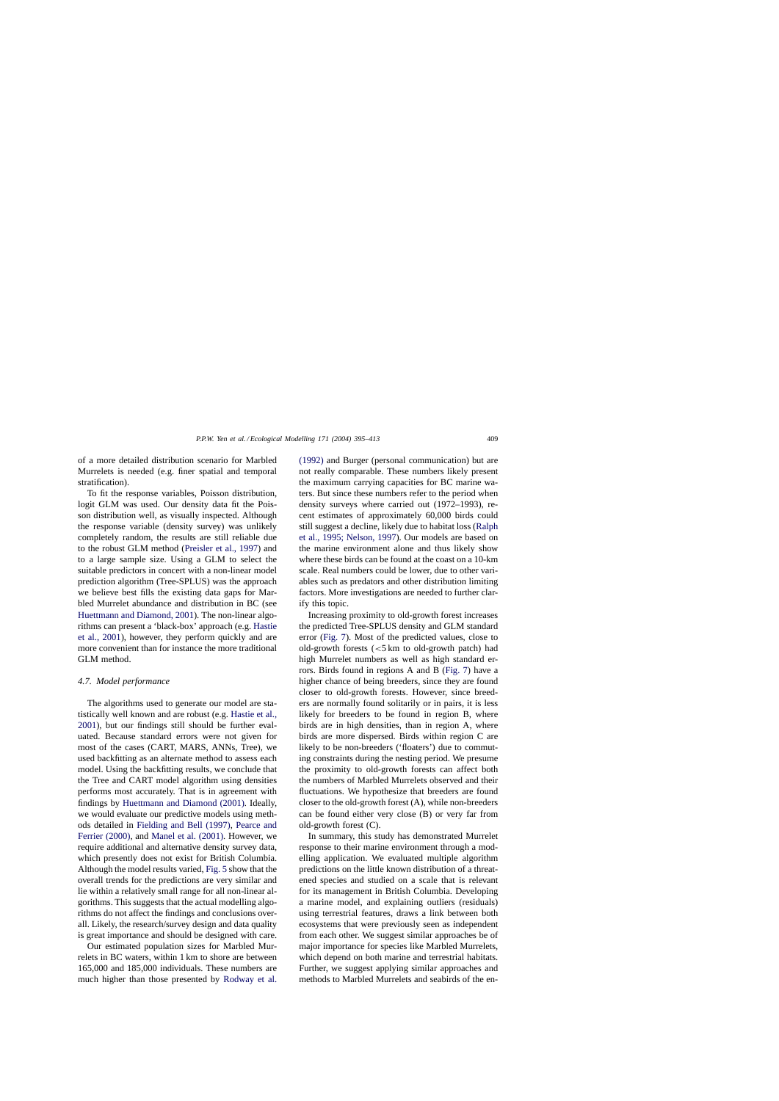of a more detailed distribution scenario for Marbled Murrelets is needed (e.g. finer spatial and temporal stratification).

To fit the response variables, Poisson distribution, logit GLM was used. Our density data fit the Poisson distribution well, as visually inspected. Although the response variable (density survey) was unlikely completely random, the results are still reliable due to the robust GLM method ([Preisler et al., 1997\)](#page-17-0) and to a large sample size. Using a GLM to select the suitable predictors in concert with a non-linear model prediction algorithm (Tree-SPLUS) was the approach we believe best fills the existing data gaps for Marbled Murrelet abundance and distribution in BC (see [Huettmann and Diamond, 2001\).](#page-16-0) The non-linear algorithms can present a 'black-box' approach (e.g. [Hastie](#page-16-0) [et al., 2001\),](#page-16-0) however, they perform quickly and are more convenient than for instance the more traditional GLM method.

# *4.7. Model performance*

The algorithms used to generate our model are statistically well known and are robust (e.g. [Hastie et al.,](#page-16-0) [2001\),](#page-16-0) but our findings still should be further evaluated. Because standard errors were not given for most of the cases (CART, MARS, ANNs, Tree), we used backfitting as an alternate method to assess each model. Using the backfitting results, we conclude that the Tree and CART model algorithm using densities performs most accurately. That is in agreement with findings by [Huettmann and Diamond \(2001\).](#page-16-0) Ideally, we would evaluate our predictive models using methods detailed in [Fielding and Bell \(1997\),](#page-16-0) [Pearce and](#page-17-0) [Ferrier \(2000\),](#page-17-0) and [Manel et al. \(2001\). H](#page-17-0)owever, we require additional and alternative density survey data, which presently does not exist for British Columbia. Although the model results varied, [Fig. 5](#page-10-0) show that the overall trends for the predictions are very similar and lie within a relatively small range for all non-linear algorithms. This suggests that the actual modelling algorithms do not affect the findings and conclusions overall. Likely, the research/survey design and data quality is great importance and should be designed with care.

Our estimated population sizes for Marbled Murrelets in BC waters, within 1 km to shore are between 165,000 and 185,000 individuals. These numbers are much higher than those presented by [Rodway et al.](#page-17-0) [\(1992\)](#page-17-0) and Burger (personal communication) but are not really comparable. These numbers likely present the maximum carrying capacities for BC marine waters. But since these numbers refer to the period when density surveys where carried out (1972–1993), recent estimates of approximately 60,000 birds could still suggest a decline, likely due to habitat loss ([Ralph](#page-17-0) [et al., 1995; Nelson, 1997\).](#page-17-0) Our models are based on the marine environment alone and thus likely show where these birds can be found at the coast on a 10-km scale. Real numbers could be lower, due to other variables such as predators and other distribution limiting factors. More investigations are needed to further clarify this topic.

Increasing proximity to old-growth forest increases the predicted Tree-SPLUS density and GLM standard error ([Fig. 7\).](#page-11-0) Most of the predicted values, close to old-growth forests (<5 km to old-growth patch) had high Murrelet numbers as well as high standard errors. Birds found in regions A and B ([Fig. 7\)](#page-11-0) have a higher chance of being breeders, since they are found closer to old-growth forests. However, since breeders are normally found solitarily or in pairs, it is less likely for breeders to be found in region B, where birds are in high densities, than in region A, where birds are more dispersed. Birds within region C are likely to be non-breeders ('floaters') due to commuting constraints during the nesting period. We presume the proximity to old-growth forests can affect both the numbers of Marbled Murrelets observed and their fluctuations. We hypothesize that breeders are found closer to the old-growth forest (A), while non-breeders can be found either very close (B) or very far from old-growth forest (C).

In summary, this study has demonstrated Murrelet response to their marine environment through a modelling application. We evaluated multiple algorithm predictions on the little known distribution of a threatened species and studied on a scale that is relevant for its management in British Columbia. Developing a marine model, and explaining outliers (residuals) using terrestrial features, draws a link between both ecosystems that were previously seen as independent from each other. We suggest similar approaches be of major importance for species like Marbled Murrelets, which depend on both marine and terrestrial habitats. Further, we suggest applying similar approaches and methods to Marbled Murrelets and seabirds of the en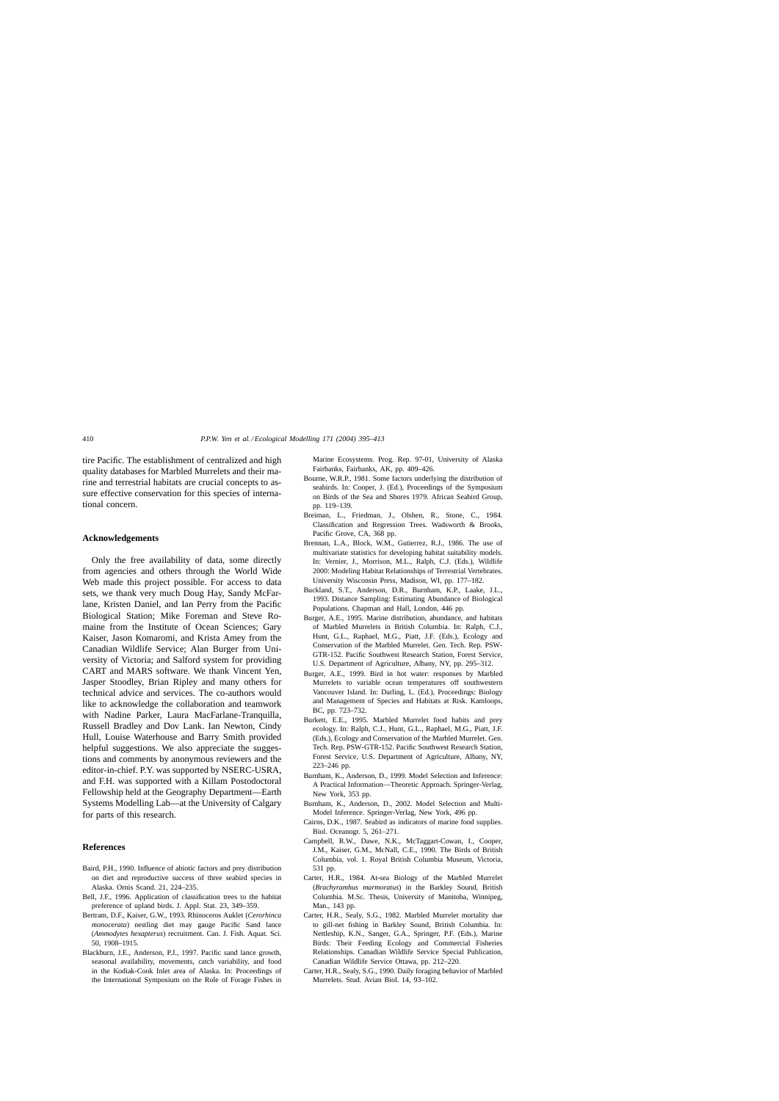<span id="page-15-0"></span>tire Pacific. The establishment of centralized and high quality databases for Marbled Murrelets and their marine and terrestrial habitats are crucial concepts to assure effective conservation for this species of international concern.

## **Acknowledgements**

Only the free availability of data, some directly from agencies and others through the World Wide Web made this project possible. For access to data sets, we thank very much Doug Hay, Sandy McFarlane, Kristen Daniel, and Ian Perry from the Pacific Biological Station; Mike Foreman and Steve Romaine from the Institute of Ocean Sciences; Gary Kaiser, Jason Komaromi, and Krista Amey from the Canadian Wildlife Service; Alan Burger from University of Victoria; and Salford system for providing CART and MARS software. We thank Vincent Yen, Jasper Stoodley, Brian Ripley and many others for technical advice and services. The co-authors would like to acknowledge the collaboration and teamwork with Nadine Parker, Laura MacFarlane-Tranquilla, Russell Bradley and Dov Lank. Ian Newton, Cindy Hull, Louise Waterhouse and Barry Smith provided helpful suggestions. We also appreciate the suggestions and comments by anonymous reviewers and the editor-in-chief. P.Y. was supported by NSERC-USRA, and F.H. was supported with a Killam Postodoctoral Fellowship held at the Geography Department—Earth Systems Modelling Lab—at the University of Calgary for parts of this research.

#### **References**

- Baird, P.H., 1990. Influence of abiotic factors and prey distribution on diet and reproductive success of three seabird species in Alaska. Ornis Scand. 21, 224–235.
- Bell, J.F., 1996. Application of classification trees to the habitat preference of upland birds. J. Appl. Stat. 23, 349–359.
- Bertram, D.F., Kaiser, G.W., 1993. Rhinoceros Auklet (*Cerorhinca monocerata*) nestling diet may gauge Pacific Sand lance (*Ammodytes hexapterus*) recruitment. Can. J. Fish. Aquat. Sci. 50, 1908–1915.
- Blackburn, J.E., Anderson, P.J., 1997. Pacific sand lance growth, seasonal availability, movements, catch variability, and food in the Kodiak-Cook Inlet area of Alaska. In: Proceedings of the International Symposium on the Role of Forage Fishes in

Marine Ecosystems. Prog. Rep. 97-01, University of Alaska Fairbanks, Fairbanks, AK, pp. 409–426.

- Bourne, W.R.P., 1981. Some factors underlying the distribution of seabirds. In: Cooper, J. (Ed.), Proceedings of the Symposium on Birds of the Sea and Shores 1979. African Seabird Group, pp. 119–139.
- Breiman, L., Friedman, J., Olshen, R., Stone, C., 1984. Classification and Regression Trees. Wadsworth & Brooks, Pacific Grove, CA, 368 pp.
- Brennan, L.A., Block, W.M., Gutierrez, R.J., 1986. The use of multivariate statistics for developing habitat suitability models. In: Vernier, J., Morrison, M.L., Ralph, C.J. (Eds.), Wildlife 2000: Modeling Habitat Relationships of Terrestrial Vertebrates. University Wisconsin Press, Madison, WI, pp. 177–182.
- Buckland, S.T., Anderson, D.R., Burnham, K.P., Laake, J.L., 1993. Distance Sampling: Estimating Abundance of Biological Populations. Chapman and Hall, London, 446 pp.
- Burger, A.E., 1995. Marine distribution, abundance, and habitats of Marbled Murrelets in British Columbia. In: Ralph, C.J., Hunt, G.L., Raphael, M.G., Piatt, J.F. (Eds.), Ecology and Conservation of the Marbled Murrelet. Gen. Tech. Rep. PSW-GTR-152. Pacific Southwest Research Station, Forest Service, U.S. Department of Agriculture, Albany, NY, pp. 295–312.
- Burger, A.E., 1999. Bird in hot water: responses by Marbled Murrelets to variable ocean temperatures off southwestern Vancouver Island. In: Darling, L. (Ed.), Proceedings: Biology and Management of Species and Habitats at Risk. Kamloops, BC, pp. 723–732.
- Burkett, E.E., 1995. Marbled Murrelet food habits and prey ecology. In: Ralph, C.J., Hunt, G.L., Raphael, M.G., Piatt, J.F. (Eds.), Ecology and Conservation of the Marbled Murrelet. Gen. Tech. Rep. PSW-GTR-152. Pacific Southwest Research Station, Forest Service, U.S. Department of Agriculture, Albany, NY, 223–246 pp.
- Burnham, K., Anderson, D., 1999. Model Selection and Inference: A Practical Information—Theoretic Approach. Springer-Verlag, New York, 353 pp.
- Burnham, K., Anderson, D., 2002. Model Selection and Multi-Model Inference. Springer-Verlag, New York, 496 pp.
- Cairns, D.K., 1987. Seabird as indicators of marine food supplies. Biol. Oceanogr. 5, 261–271.
- Campbell, R.W., Dawe, N.K., McTaggart-Cowan, I., Cooper, J.M., Kaiser, G.M., McNall, C.E., 1990. The Birds of British Columbia, vol. 1. Royal British Columbia Museum, Victoria, 531 pp.
- Carter, H.R., 1984. At-sea Biology of the Marbled Murrelet (*Brachyramhus marmoratus*) in the Barkley Sound, British Columbia. M.Sc. Thesis, University of Manitoba, Winnipeg, Man., 143 pp.
- Carter, H.R., Sealy, S.G., 1982. Marbled Murrelet mortality due to gill-net fishing in Barkley Sound, British Columbia. In: Nettleship, K.N., Sanger, G.A., Springer, P.F. (Eds.), Marine Birds: Their Feeding Ecology and Commercial Fisheries Relationships. Canadian Wildlife Service Special Publication, Canadian Wildlife Service Ottawa, pp. 212–220.
- Carter, H.R., Sealy, S.G., 1990. Daily foraging behavior of Marbled Murrelets. Stud. Avian Biol. 14, 93–102.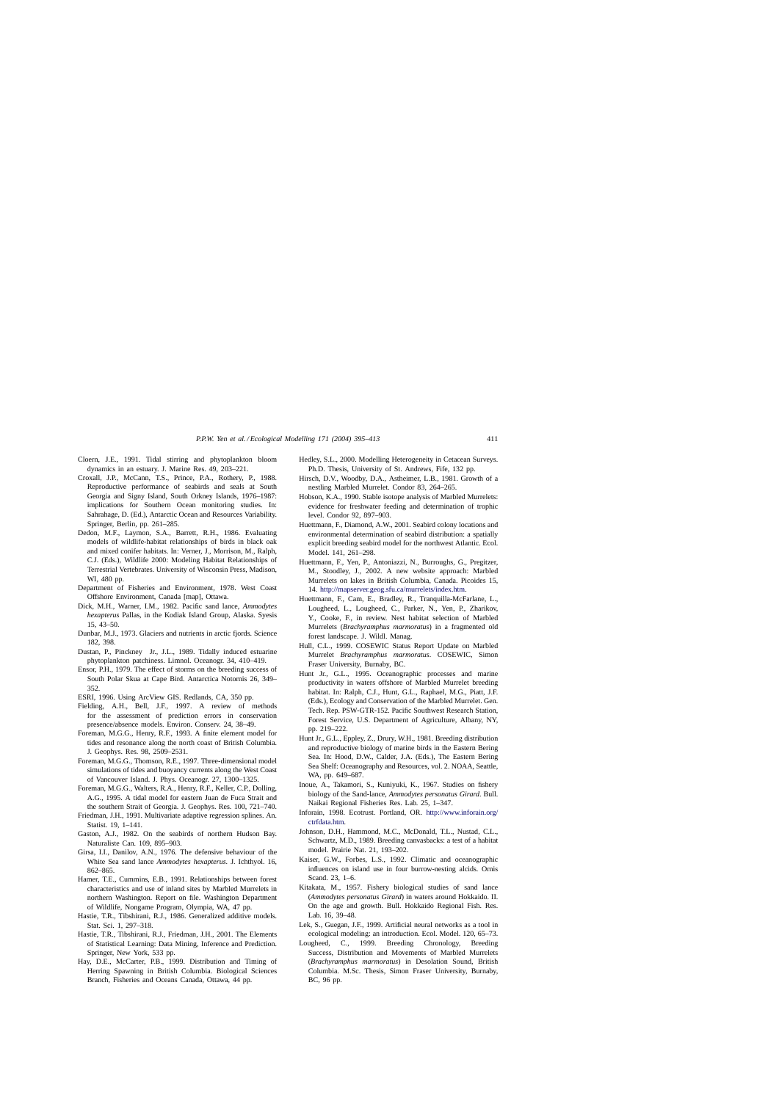- <span id="page-16-0"></span>Cloern, J.E., 1991. Tidal stirring and phytoplankton bloom dynamics in an estuary. J. Marine Res. 49, 203–221.
- Croxall, J.P., McCann, T.S., Prince, P.A., Rothery, P., 1988. Reproductive performance of seabirds and seals at South Georgia and Signy Island, South Orkney Islands, 1976–1987: implications for Southern Ocean monitoring studies. In: Sahrahage, D. (Ed.), Antarctic Ocean and Resources Variability. Springer, Berlin, pp. 261–285.
- Dedon, M.F., Laymon, S.A., Barrett, R.H., 1986. Evaluating models of wildlife-habitat relationships of birds in black oak and mixed conifer habitats. In: Verner, J., Morrison, M., Ralph, C.J. (Eds.), Wildlife 2000: Modeling Habitat Relationships of Terrestrial Vertebrates. University of Wisconsin Press, Madison, WI, 480 pp.
- Department of Fisheries and Environment, 1978. West Coast Offshore Environment, Canada [map], Ottawa.
- Dick, M.H., Warner, I.M., 1982. Pacific sand lance, *Ammodytes hexapterus* Pallas, in the Kodiak Island Group, Alaska. Syesis 15, 43–50.
- Dunbar, M.J., 1973. Glaciers and nutrients in arctic fjords. Science 182, 398.
- Dustan, P., Pinckney Jr., J.L., 1989. Tidally induced estuarine phytoplankton patchiness. Limnol. Oceanogr. 34, 410–419.
- Ensor, P.H., 1979. The effect of storms on the breeding success of South Polar Skua at Cape Bird. Antarctica Notornis 26, 349– 352.
- ESRI, 1996. Using ArcView GIS. Redlands, CA, 350 pp.
- Fielding, A.H., Bell, J.F., 1997. A review of methods for the assessment of prediction errors in conservation presence/absence models. Environ. Conserv. 24, 38–49.
- Foreman, M.G.G., Henry, R.F., 1993. A finite element model for tides and resonance along the north coast of British Columbia. J. Geophys. Res. 98, 2509–2531.
- Foreman, M.G.G., Thomson, R.E., 1997. Three-dimensional model simulations of tides and buoyancy currents along the West Coast of Vancouver Island. J. Phys. Oceanogr. 27, 1300–1325.
- Foreman, M.G.G., Walters, R.A., Henry, R.F., Keller, C.P., Dolling, A.G., 1995. A tidal model for eastern Juan de Fuca Strait and the southern Strait of Georgia. J. Geophys. Res. 100, 721–740.
- Friedman, J.H., 1991. Multivariate adaptive regression splines. An. Statist. 19, 1–141.
- Gaston, A.J., 1982. On the seabirds of northern Hudson Bay. Naturaliste Can. 109, 895–903.
- Girsa, I.I., Danilov, A.N., 1976. The defensive behaviour of the White Sea sand lance *Ammodytes hexapterus*. J. Ichthyol. 16, 862–865.
- Hamer, T.E., Cummins, E.B., 1991. Relationships between forest characteristics and use of inland sites by Marbled Murrelets in northern Washington. Report on file. Washington Department of Wildlife, Nongame Program, Olympia, WA, 47 pp.
- Hastie, T.R., Tibshirani, R.J., 1986. Generalized additive models. Stat. Sci. 1, 297–318.
- Hastie, T.R., Tibshirani, R.J., Friedman, J.H., 2001. The Elements of Statistical Learning: Data Mining, Inference and Prediction. Springer, New York, 533 pp.
- Hay, D.E., McCarter, P.B., 1999. Distribution and Timing of Herring Spawning in British Columbia. Biological Sciences Branch, Fisheries and Oceans Canada, Ottawa, 44 pp.
- Hedley, S.L., 2000. Modelling Heterogeneity in Cetacean Surveys. Ph.D. Thesis, University of St. Andrews, Fife, 132 pp.
- Hirsch, D.V., Woodby, D.A., Astheimer, L.B., 1981. Growth of a nestling Marbled Murrelet. Condor 83, 264–265.
- Hobson, K.A., 1990. Stable isotope analysis of Marbled Murrelets: evidence for freshwater feeding and determination of trophic level. Condor 92, 897–903.
- Huettmann, F., Diamond, A.W., 2001. Seabird colony locations and environmental determination of seabird distribution: a spatially explicit breeding seabird model for the northwest Atlantic. Ecol. Model. 141, 261–298.
- Huettmann, F., Yen, P., Antoniazzi, N., Burroughs, G., Pregitzer, M., Stoodley, J., 2002. A new website approach: Marbled Murrelets on lakes in British Columbia, Canada. Picoides 15, 14. [http://mapserver.geog.sfu.ca/murrelets/index.htm.](http://mapserver.geog.sfu.ca/murrelets/index.htm)
- Huettmann, F., Cam, E., Bradley, R., Tranquilla-McFarlane, L., Lougheed, L., Lougheed, C., Parker, N., Yen, P., Zharikov, Y., Cooke, F., in review. Nest habitat selection of Marbled Murrelets (*Brachyramphus marmoratus*) in a fragmented old forest landscape. J. Wildl. Manag.
- Hull, C.L., 1999. COSEWIC Status Report Update on Marbled Murrelet *Brachyramphus marmoratus*. COSEWIC, Simon Fraser University, Burnaby, BC.
- Hunt Jr., G.L., 1995. Oceanographic processes and marine productivity in waters offshore of Marbled Murrelet breeding habitat. In: Ralph, C.J., Hunt, G.L., Raphael, M.G., Piatt, J.F. (Eds.), Ecology and Conservation of the Marbled Murrelet. Gen. Tech. Rep. PSW-GTR-152. Pacific Southwest Research Station, Forest Service, U.S. Department of Agriculture, Albany, NY, pp. 219–222.
- Hunt Jr., G.L., Eppley, Z., Drury, W.H., 1981. Breeding distribution and reproductive biology of marine birds in the Eastern Bering Sea. In: Hood, D.W., Calder, J.A. (Eds.), The Eastern Bering Sea Shelf: Oceanography and Resources, vol. 2. NOAA, Seattle, WA, pp. 649–687.
- Inoue, A., Takamori, S., Kuniyuki, K., 1967. Studies on fishery biology of the Sand-lance, *Ammodytes personatus Girard*. Bull. Naikai Regional Fisheries Res. Lab. 25, 1–347.
- Inforain, 1998. Ecotrust. Portland, OR. [http://www.inforain.org/](http://www.inforain.org/ctrfdata.htm) [ctrfdata.htm](http://www.inforain.org/ctrfdata.htm).
- Johnson, D.H., Hammond, M.C., McDonald, T.L., Nustad, C.L., Schwartz, M.D., 1989. Breeding canvasbacks: a test of a habitat model. Prairie Nat. 21, 193–202.
- Kaiser, G.W., Forbes, L.S., 1992. Climatic and oceanographic influences on island use in four burrow-nesting alcids. Ornis Scand. 23, 1–6.
- Kitakata, M., 1957. Fishery biological studies of sand lance (*Ammodytes personatus Girard*) in waters around Hokkaido. II. On the age and growth. Bull. Hokkaido Regional Fish. Res. Lab. 16, 39–48.
- Lek, S., Guegan, J.F., 1999. Artificial neural networks as a tool in ecological modeling: an introduction. Ecol. Model. 120, 65–73.
- Lougheed, C., 1999. Breeding Chronology, Breeding Success, Distribution and Movements of Marbled Murrelets (*Brachyramphus marmoratus*) in Desolation Sound, British Columbia. M.Sc. Thesis, Simon Fraser University, Burnaby, BC, 96 pp.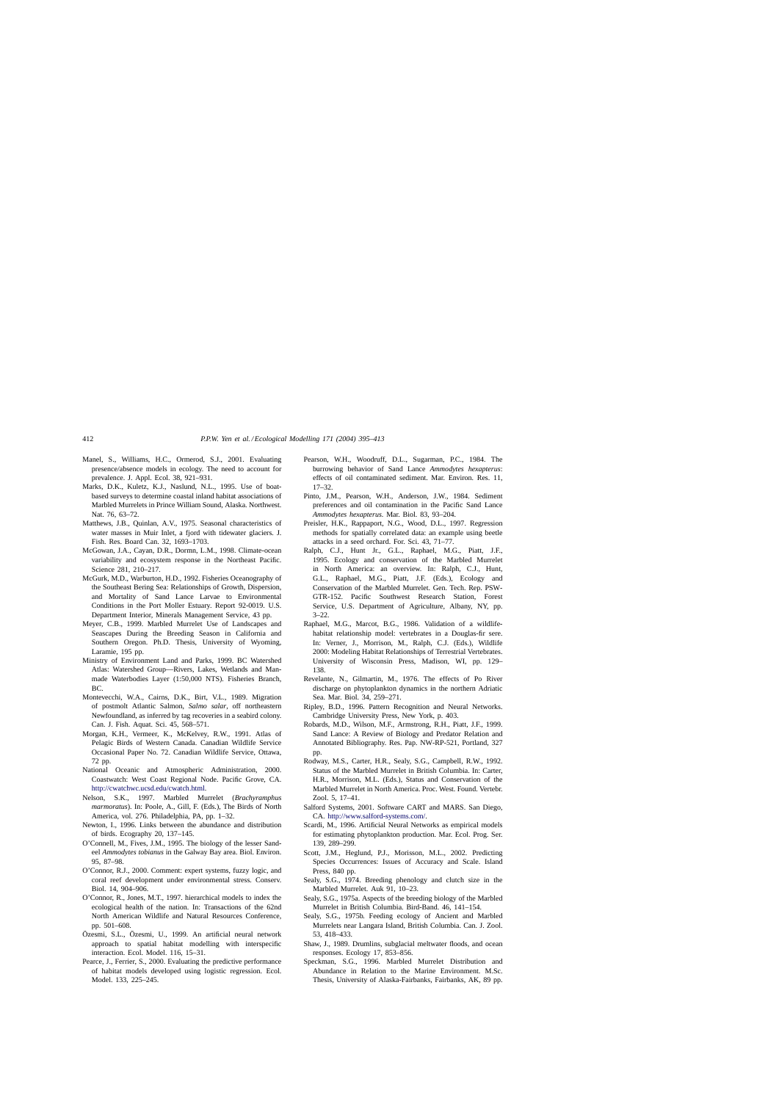- <span id="page-17-0"></span>Manel, S., Williams, H.C., Ormerod, S.J., 2001. Evaluating presence/absence models in ecology. The need to account for prevalence. J. Appl. Ecol. 38, 921–931.
- Marks, D.K., Kuletz, K.J., Naslund, N.L., 1995. Use of boatbased surveys to determine coastal inland habitat associations of Marbled Murrelets in Prince William Sound, Alaska. Northwest. Nat. 76, 63–72.
- Matthews, J.B., Quinlan, A.V., 1975. Seasonal characteristics of water masses in Muir Inlet, a fjord with tidewater glaciers. J. Fish. Res. Board Can. 32, 1693–1703.
- McGowan, J.A., Cayan, D.R., Dormn, L.M., 1998. Climate-ocean variability and ecosystem response in the Northeast Pacific. Science 281, 210–217.
- McGurk, M.D., Warburton, H.D., 1992. Fisheries Oceanography of the Southeast Bering Sea: Relationships of Growth, Dispersion, and Mortality of Sand Lance Larvae to Environmental Conditions in the Port Moller Estuary. Report 92-0019. U.S. Department Interior, Minerals Management Service, 43 pp.
- Meyer, C.B., 1999. Marbled Murrelet Use of Landscapes and Seascapes During the Breeding Season in California and Southern Oregon. Ph.D. Thesis, University of Wyoming, Laramie, 195 pp.
- Ministry of Environment Land and Parks, 1999. BC Watershed Atlas: Watershed Group—Rivers, Lakes, Wetlands and Manmade Waterbodies Layer (1:50,000 NTS). Fisheries Branch, BC.
- Montevecchi, W.A., Cairns, D.K., Birt, V.L., 1989. Migration of postmolt Atlantic Salmon, *Salmo salar*, off northeastern Newfoundland, as inferred by tag recoveries in a seabird colony. Can. J. Fish. Aquat. Sci. 45, 568–571.
- Morgan, K.H., Vermeer, K., McKelvey, R.W., 1991. Atlas of Pelagic Birds of Western Canada. Canadian Wildlife Service Occasional Paper No. 72. Canadian Wildlife Service, Ottawa, 72 pp.
- National Oceanic and Atmospheric Administration, 2000. Coastwatch: West Coast Regional Node. Pacific Grove, CA. <http://cwatchwc.ucsd.edu/cwatch.html>.
- Nelson, S.K., 1997. Marbled Murrelet (*Brachyramphus marmoratus*). In: Poole, A., Gill, F. (Eds.), The Birds of North America, vol. 276. Philadelphia, PA, pp. 1–32.
- Newton, I., 1996. Links between the abundance and distribution of birds. Ecography 20, 137–145.
- O'Connell, M., Fives, J.M., 1995. The biology of the lesser Sandeel *Ammodytes tobianus* in the Galway Bay area. Biol. Environ. 95, 87–98.
- O'Connor, R.J., 2000. Comment: expert systems, fuzzy logic, and coral reef development under environmental stress. Conserv. Biol. 14, 904–906.
- O'Connor, R., Jones, M.T., 1997. hierarchical models to index the ecological health of the nation. In: Transactions of the 62nd North American Wildlife and Natural Resources Conference, pp. 501–608.
- Özesmi, S.L., Özesmi, U., 1999. An artificial neural network approach to spatial habitat modelling with interspecific interaction. Ecol. Model. 116, 15–31.
- Pearce, J., Ferrier, S., 2000. Evaluating the predictive performance of habitat models developed using logistic regression. Ecol. Model. 133, 225–245.
- Pearson, W.H., Woodruff, D.L., Sugarman, P.C., 1984. The burrowing behavior of Sand Lance *Ammodytes hexapterus*: effects of oil contaminated sediment. Mar. Environ. Res. 11, 17–32.
- Pinto, J.M., Pearson, W.H., Anderson, J.W., 1984. Sediment preferences and oil contamination in the Pacific Sand Lance *Ammodytes hexapterus*. Mar. Biol. 83, 93–204.
- Preisler, H.K., Rappaport, N.G., Wood, D.L., 1997. Regression methods for spatially correlated data: an example using beetle attacks in a seed orchard. For. Sci. 43, 71–77.
- Ralph, C.J., Hunt Jr., G.L., Raphael, M.G., Piatt, J.F., 1995. Ecology and conservation of the Marbled Murrelet in North America: an overview. In: Ralph, C.J., Hunt, G.L., Raphael, M.G., Piatt, J.F. (Eds.), Ecology and Conservation of the Marbled Murrelet. Gen. Tech. Rep. PSW-GTR-152. Pacific Southwest Research Station, Forest Service, U.S. Department of Agriculture, Albany, NY, pp. 3–22.
- Raphael, M.G., Marcot, B.G., 1986. Validation of a wildlifehabitat relationship model: vertebrates in a Douglas-fir sere. In: Verner, J., Morrison, M., Ralph, C.J. (Eds.), Wildlife 2000: Modeling Habitat Relationships of Terrestrial Vertebrates. University of Wisconsin Press, Madison, WI, pp. 129– 138.
- Revelante, N., Gilmartin, M., 1976. The effects of Po River discharge on phytoplankton dynamics in the northern Adriatic Sea. Mar. Biol. 34, 259–271.
- Ripley, B.D., 1996. Pattern Recognition and Neural Networks. Cambridge University Press, New York, p. 403.
- Robards, M.D., Wilson, M.F., Armstrong, R.H., Piatt, J.F., 1999. Sand Lance: A Review of Biology and Predator Relation and Annotated Bibliography. Res. Pap. NW-RP-521, Portland, 327 pp.
- Rodway, M.S., Carter, H.R., Sealy, S.G., Campbell, R.W., 1992. Status of the Marbled Murrelet in British Columbia. In: Carter, H.R., Morrison, M.L. (Eds.), Status and Conservation of the Marbled Murrelet in North America. Proc. West. Found. Vertebr. Zool. 5, 17–41.
- Salford Systems, 2001. Software CART and MARS. San Diego, CA. <http://www.salford-systems.com/>.
- Scardi, M., 1996. Artificial Neural Networks as empirical models for estimating phytoplankton production. Mar. Ecol. Prog. Ser. 139, 289–299.
- Scott, J.M., Heglund, P.J., Morisson, M.L., 2002. Predicting Species Occurrences: Issues of Accuracy and Scale. Island Press, 840 pp.
- Sealy, S.G., 1974. Breeding phenology and clutch size in the Marbled Murrelet. Auk 91, 10–23.
- Sealy, S.G., 1975a. Aspects of the breeding biology of the Marbled Murrelet in British Columbia. Bird-Band. 46, 141–154.
- Sealy, S.G., 1975b. Feeding ecology of Ancient and Marbled Murrelets near Langara Island, British Columbia. Can. J. Zool. 53, 418–433.
- Shaw, J., 1989. Drumlins, subglacial meltwater floods, and ocean responses. Ecology 17, 853–856.
- Speckman, S.G., 1996. Marbled Murrelet Distribution and Abundance in Relation to the Marine Environment. M.Sc. Thesis, University of Alaska-Fairbanks, Fairbanks, AK, 89 pp.